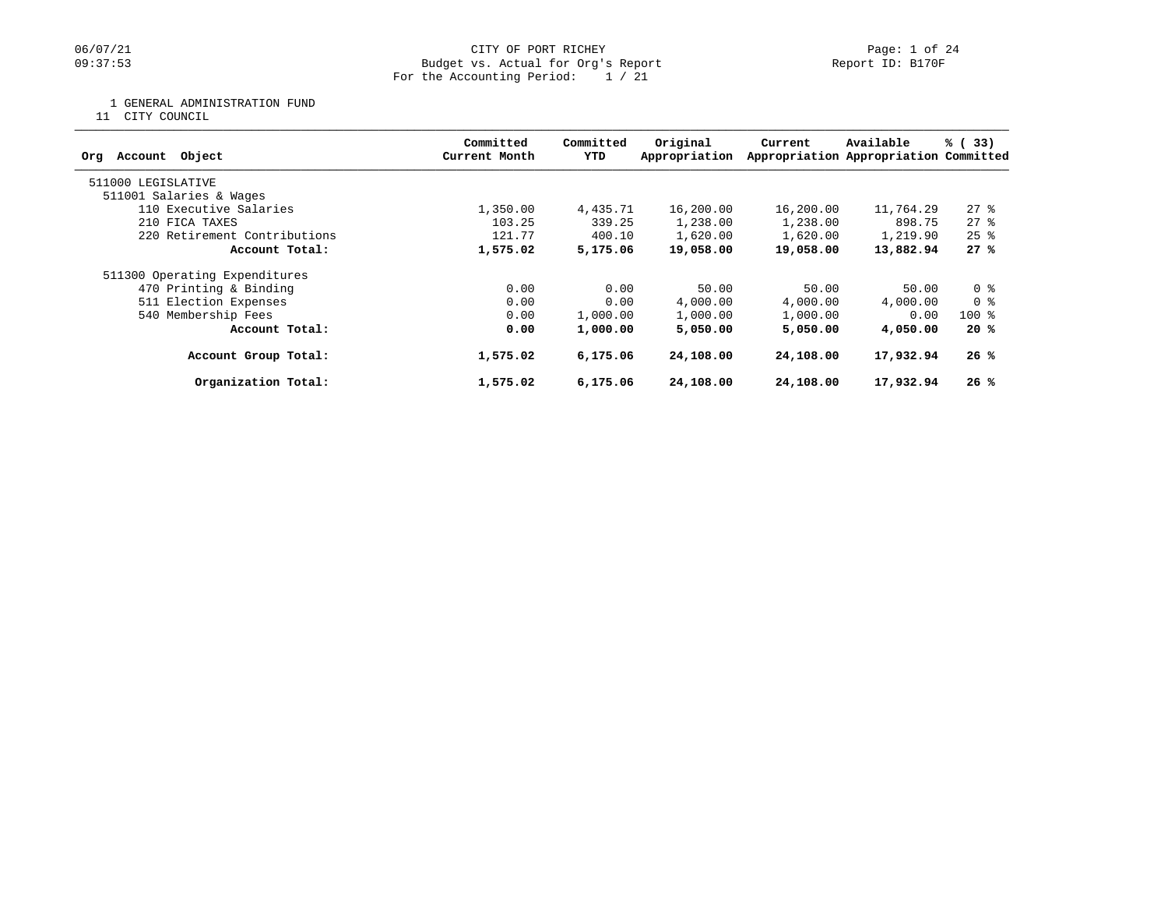## 06/07/21 CITY OF PORT RICHEY PART ROBER 1 OF 24<br>
Budget vs. Actual for Org's Report Company of Report ID: B170F Budget vs. Actual for Org's Report For the Accounting Period: 1 / 21

1 GENERAL ADMINISTRATION FUND

11 CITY COUNCIL

| Object<br>Account<br>Org      | Committed<br>Current Month | Committed<br>YTD | Original<br>Appropriation | Current   | Available<br>Appropriation Appropriation Committed | % (33)             |
|-------------------------------|----------------------------|------------------|---------------------------|-----------|----------------------------------------------------|--------------------|
| 511000 LEGISLATIVE            |                            |                  |                           |           |                                                    |                    |
| 511001 Salaries & Wages       |                            |                  |                           |           |                                                    |                    |
| 110 Executive Salaries        | 1,350.00                   | 4,435.71         | 16,200.00                 | 16,200.00 | 11,764.29                                          | $27$ %             |
| 210 FICA TAXES                | 103.25                     | 339.25           | 1,238.00                  | 1,238.00  | 898.75                                             | 278                |
| 220 Retirement Contributions  | 121.77                     | 400.10           | 1,620.00                  | 1,620.00  | 1,219.90                                           | $25$ $\frac{6}{5}$ |
| Account Total:                | 1,575.02                   | 5,175.06         | 19,058.00                 | 19,058.00 | 13,882.94                                          | 27%                |
| 511300 Operating Expenditures |                            |                  |                           |           |                                                    |                    |
| 470 Printing & Binding        | 0.00                       | 0.00             | 50.00                     | 50.00     | 50.00                                              | 0 <sup>8</sup>     |
| 511 Election Expenses         | 0.00                       | 0.00             | 4,000.00                  | 4,000.00  | 4,000.00                                           | 0 %                |
| 540 Membership Fees           | 0.00                       | 1,000.00         | 1,000.00                  | 1,000.00  | 0.00                                               | $100$ %            |
| Account Total:                | 0.00                       | 1,000.00         | 5,050.00                  | 5,050,00  | 4,050.00                                           | 20%                |
| Account Group Total:          | 1,575.02                   | 6,175.06         | 24,108.00                 | 24,108.00 | 17,932.94                                          | 26%                |
| Organization Total:           | 1,575.02                   | 6,175.06         | 24,108.00                 | 24,108.00 | 17,932.94                                          | 26%                |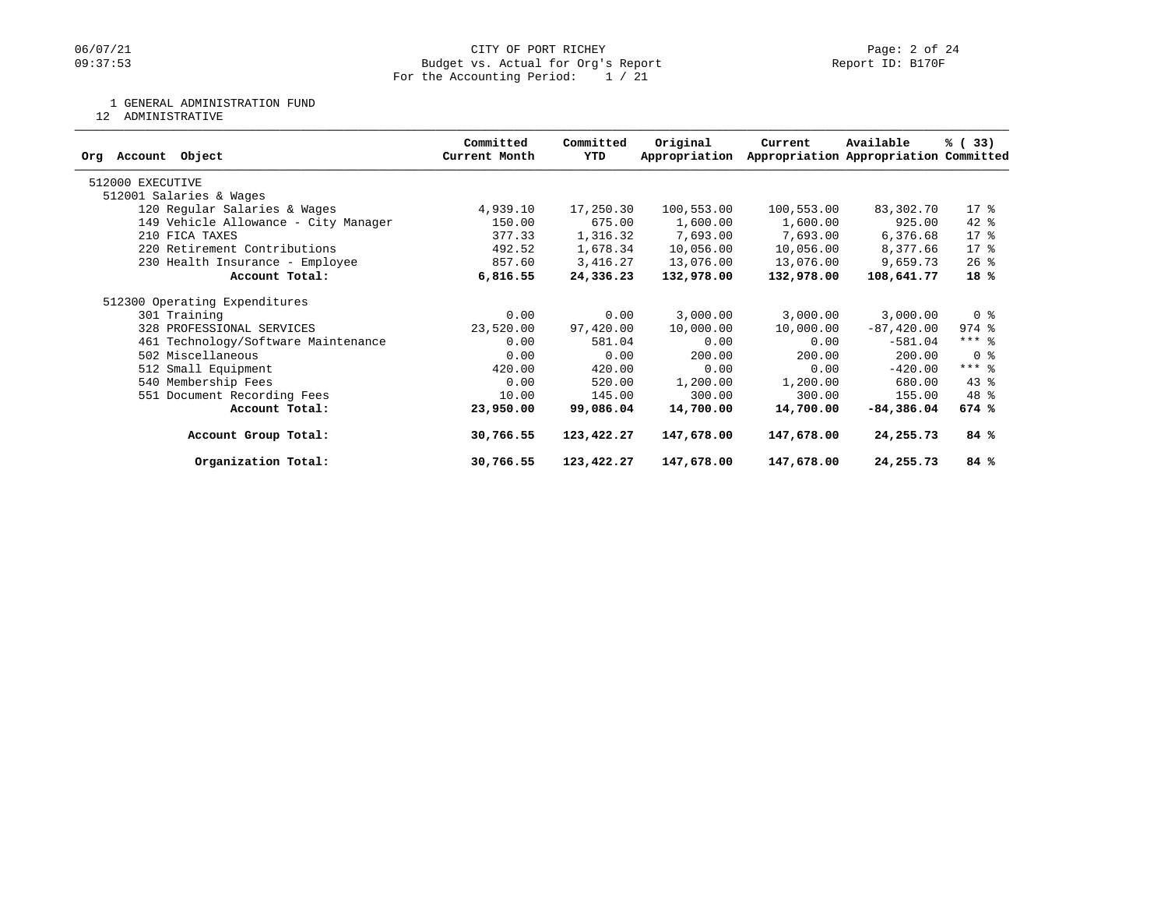## 06/07/21 CITY OF PORT RICHEY Page: 2 of 24<br>
Dudget vs. Actual for Org's Report Company of Report ID: B170F Budget vs. Actual for Org's Report For the Accounting Period: 1 / 21

## 1 GENERAL ADMINISTRATION FUND

12 ADMINISTRATIVE

|                                      | Committed     | Committed  | Original      | Current    | Available                             | % (33)                             |
|--------------------------------------|---------------|------------|---------------|------------|---------------------------------------|------------------------------------|
| Account Object<br>Orq                | Current Month | YTD        | Appropriation |            | Appropriation Appropriation Committed |                                    |
| 512000 EXECUTIVE                     |               |            |               |            |                                       |                                    |
| 512001 Salaries & Wages              |               |            |               |            |                                       |                                    |
| 120 Regular Salaries & Wages         | 4,939.10      | 17,250.30  | 100,553.00    | 100,553.00 | 83,302.70                             | 17 <sub>8</sub>                    |
| 149 Vehicle Allowance - City Manager | 150.00        | 675.00     | 1,600.00      | 1,600.00   | 925.00                                | $42$ %                             |
| 210 FICA TAXES                       | 377.33        | 1,316.32   | 7,693.00      | 7,693.00   | 6,376.68                              | $17*$                              |
| 220 Retirement Contributions         | 492.52        | 1,678.34   | 10,056.00     | 10,056.00  | 8,377.66                              | $17*$                              |
| 230 Health Insurance - Employee      | 857.60        | 3,416.27   | 13,076.00     | 13,076.00  | 9,659.73                              | $26$ %                             |
| Account Total:                       | 6,816.55      | 24,336.23  | 132,978.00    | 132,978.00 | 108,641.77                            | 18%                                |
| 512300 Operating Expenditures        |               |            |               |            |                                       |                                    |
| 301 Training                         | 0.00          | 0.00       | 3,000.00      | 3,000.00   | 3,000.00                              | 0 <sup>8</sup>                     |
| 328 PROFESSIONAL SERVICES            | 23,520.00     | 97,420.00  | 10,000.00     | 10,000.00  | $-87, 420.00$                         | $974$ $%$                          |
| 461 Technology/Software Maintenance  | 0.00          | 581.04     | 0.00          | 0.00       | $-581.04$                             | $***$ 8                            |
| 502 Miscellaneous                    | 0.00          | 0.00       | 200.00        | 200.00     | 200.00                                | $0 \text{ }$ $\text{ }$ $\text{ }$ |
| 512 Small Equipment                  | 420.00        | 420.00     | 0.00          | 0.00       | $-420.00$                             | $***$ 8                            |
| 540 Membership Fees                  | 0.00          | 520.00     | 1,200.00      | 1,200.00   | 680.00                                | $43*$                              |
| 551 Document Recording Fees          | 10.00         | 145.00     | 300.00        | 300.00     | 155.00                                | 48 %                               |
| Account Total:                       | 23,950.00     | 99,086.04  | 14,700.00     | 14,700.00  | $-84,386.04$                          | 674%                               |
| Account Group Total:                 | 30,766.55     | 123,422.27 | 147,678.00    | 147,678.00 | 24,255.73                             | 84 %                               |
| Organization Total:                  | 30,766.55     | 123,422.27 | 147,678.00    | 147,678.00 | 24,255.73                             | 84 %                               |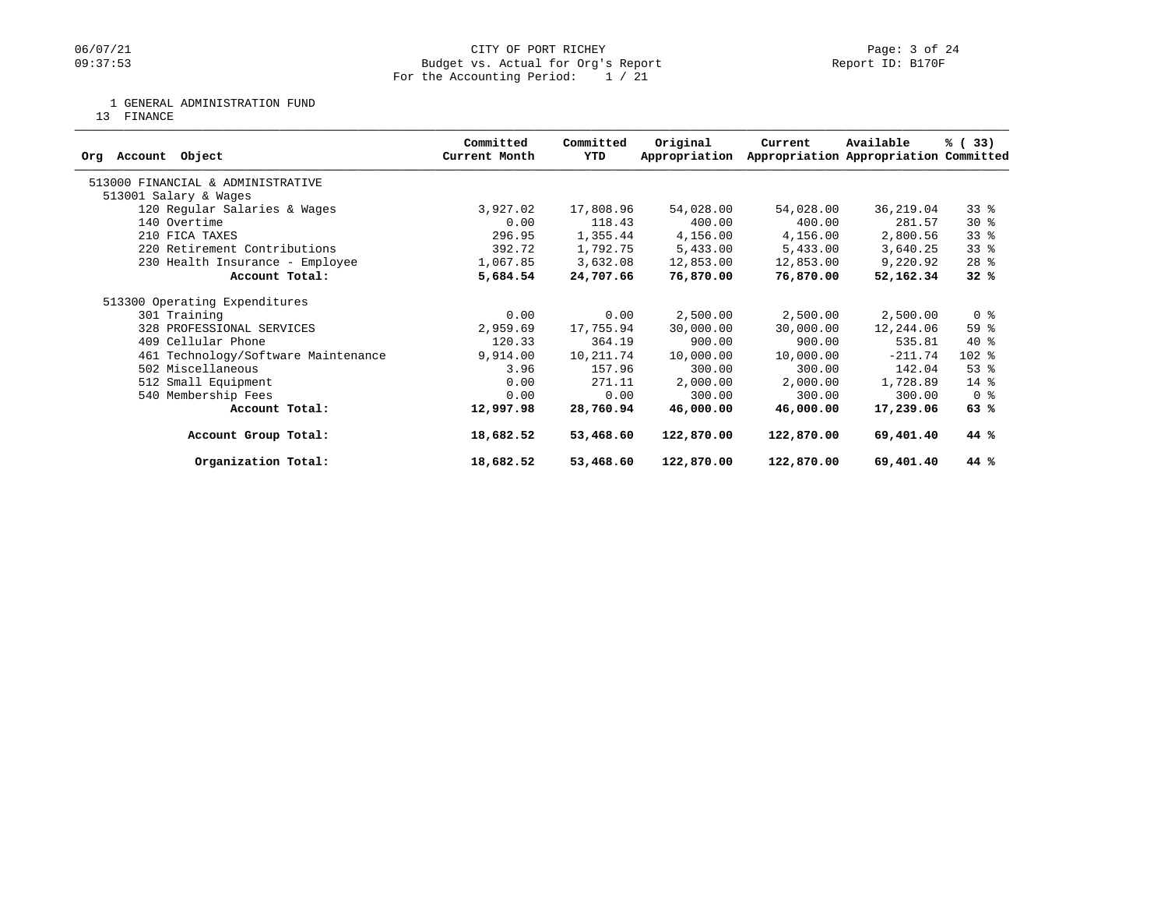## 06/07/21 CITY OF PORT RICHEY Page: 3 of 24<br>
Budget vs. Actual for Org's Report Page: 1 20 Report ID: B170F Budget vs. Actual for Org's Report For the Accounting Period: 1 / 21

1 GENERAL ADMINISTRATION FUND

13 FINANCE

| Object<br>Account<br>Orq            | Committed<br>Current Month | Committed<br>YTD | Original<br>Appropriation | Current    | Available<br>Appropriation Appropriation Committed | % (33)         |
|-------------------------------------|----------------------------|------------------|---------------------------|------------|----------------------------------------------------|----------------|
| 513000 FINANCIAL & ADMINISTRATIVE   |                            |                  |                           |            |                                                    |                |
| 513001 Salary & Wages               |                            |                  |                           |            |                                                    |                |
| 120 Regular Salaries & Wages        | 3,927.02                   | 17,808.96        | 54,028.00                 | 54,028.00  | 36,219.04                                          | 338            |
| 140 Overtime                        | 0.00                       | 118.43           | 400.00                    | 400.00     | 281.57                                             | $30*$          |
| 210 FICA TAXES                      | 296.95                     | 1,355.44         | 4,156.00                  | 4,156.00   | 2,800.56                                           | $33$ $%$       |
| 220 Retirement Contributions        | 392.72                     | 1,792.75         | 5,433.00                  | 5,433.00   | 3,640.25                                           | 33%            |
| 230 Health Insurance - Employee     | 1,067.85                   | 3,632.08         | 12,853.00                 | 12,853.00  | 9,220.92                                           | $28$ %         |
| Account Total:                      | 5,684.54                   | 24,707.66        | 76,870.00                 | 76,870.00  | 52,162.34                                          | 32%            |
| 513300 Operating Expenditures       |                            |                  |                           |            |                                                    |                |
| 301 Training                        | 0.00                       | 0.00             | 2,500.00                  | 2,500.00   | 2,500.00                                           | 0 <sup>8</sup> |
| 328 PROFESSIONAL SERVICES           | 2,959.69                   | 17,755.94        | 30,000.00                 | 30,000.00  | 12,244.06                                          | 59 %           |
| 409 Cellular Phone                  | 120.33                     | 364.19           | 900.00                    | 900.00     | 535.81                                             | $40*$          |
| 461 Technology/Software Maintenance | 9,914.00                   | 10,211.74        | 10,000.00                 | 10,000.00  | $-211.74$                                          | $102$ %        |
| 502 Miscellaneous                   | 3.96                       | 157.96           | 300.00                    | 300.00     | 142.04                                             | $53$ $%$       |
| 512 Small Equipment                 | 0.00                       | 271.11           | 2,000.00                  | 2,000.00   | 1,728.89                                           | $14*$          |
| 540 Membership Fees                 | 0.00                       | 0.00             | 300.00                    | 300.00     | 300.00                                             | 0 <sup>8</sup> |
| Account Total:                      | 12,997.98                  | 28,760.94        | 46,000.00                 | 46,000.00  | 17,239.06                                          | 63%            |
| Account Group Total:                | 18,682.52                  | 53,468.60        | 122,870.00                | 122,870.00 | 69,401.40                                          | 44 %           |
| Organization Total:                 | 18,682.52                  | 53,468.60        | 122,870.00                | 122,870.00 | 69,401.40                                          | 44 %           |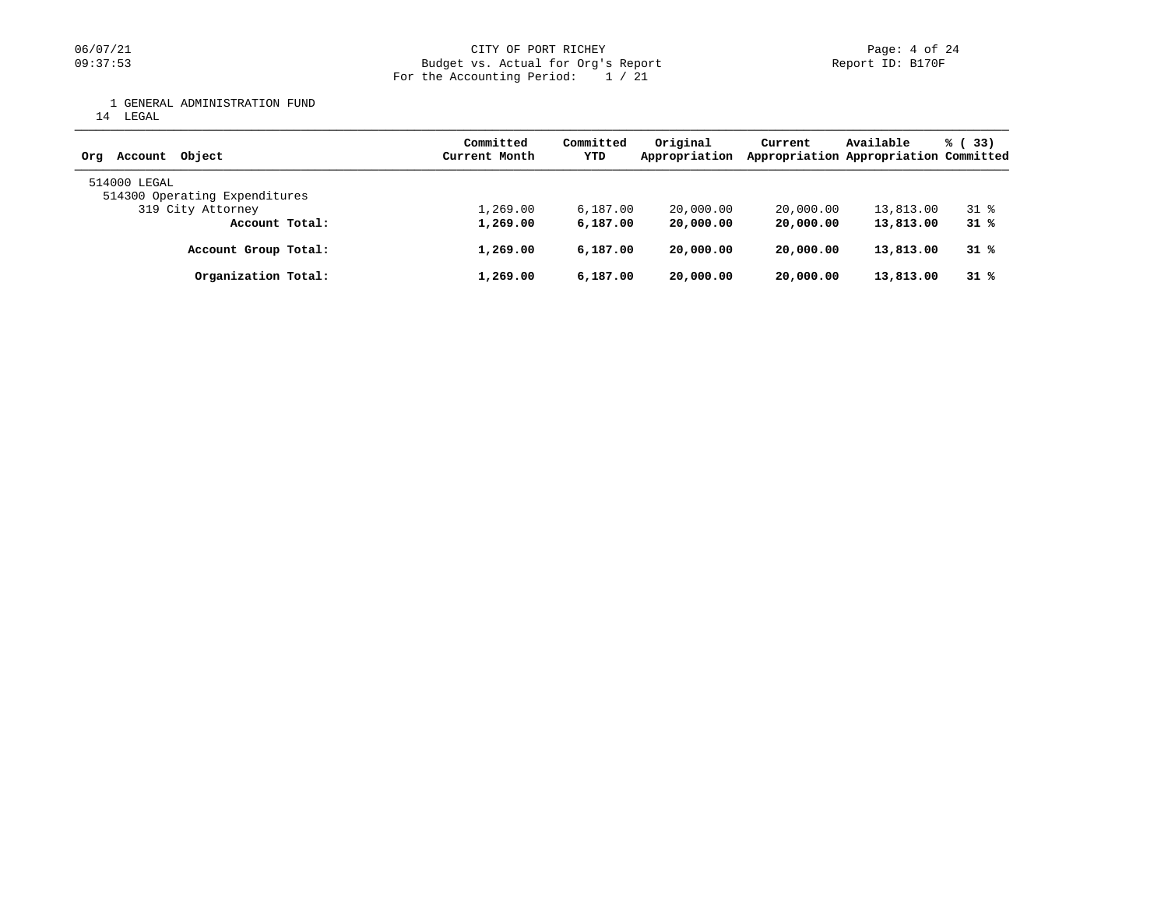## 06/07/21 CITY OF PORT RICHEY PAGES 24 DERI PAGES 24<br>
D9:37:53 Budget vs. Actual for Org's Report (1999) Deport ID: B170F Budget vs. Actual for Org's Report For the Accounting Period: 1 / 21

1 GENERAL ADMINISTRATION FUND

14 LEGAL

| Account Object<br>Orq                         | Committed<br>Current Month | Committed<br>YTD | Original<br>Appropriation | Current   | Available<br>Appropriation Appropriation Committed | % (33)             |
|-----------------------------------------------|----------------------------|------------------|---------------------------|-----------|----------------------------------------------------|--------------------|
| 514000 LEGAL<br>514300 Operating Expenditures |                            |                  |                           |           |                                                    |                    |
| 319 City Attorney                             | 1,269.00                   | 6.187.00         | 20,000.00                 | 20,000.00 | 13,813.00                                          | $31$ $\frac{6}{3}$ |
| Account Total:                                | 1,269.00                   | 6,187.00         | 20,000.00                 | 20,000.00 | 13,813.00                                          | 31%                |
| Account Group Total:                          | 1,269.00                   | 6,187,00         | 20,000.00                 | 20,000.00 | 13,813.00                                          | 31%                |
| Organization Total:                           | 1,269.00                   | 6,187,00         | 20,000.00                 | 20,000.00 | 13,813.00                                          | 31%                |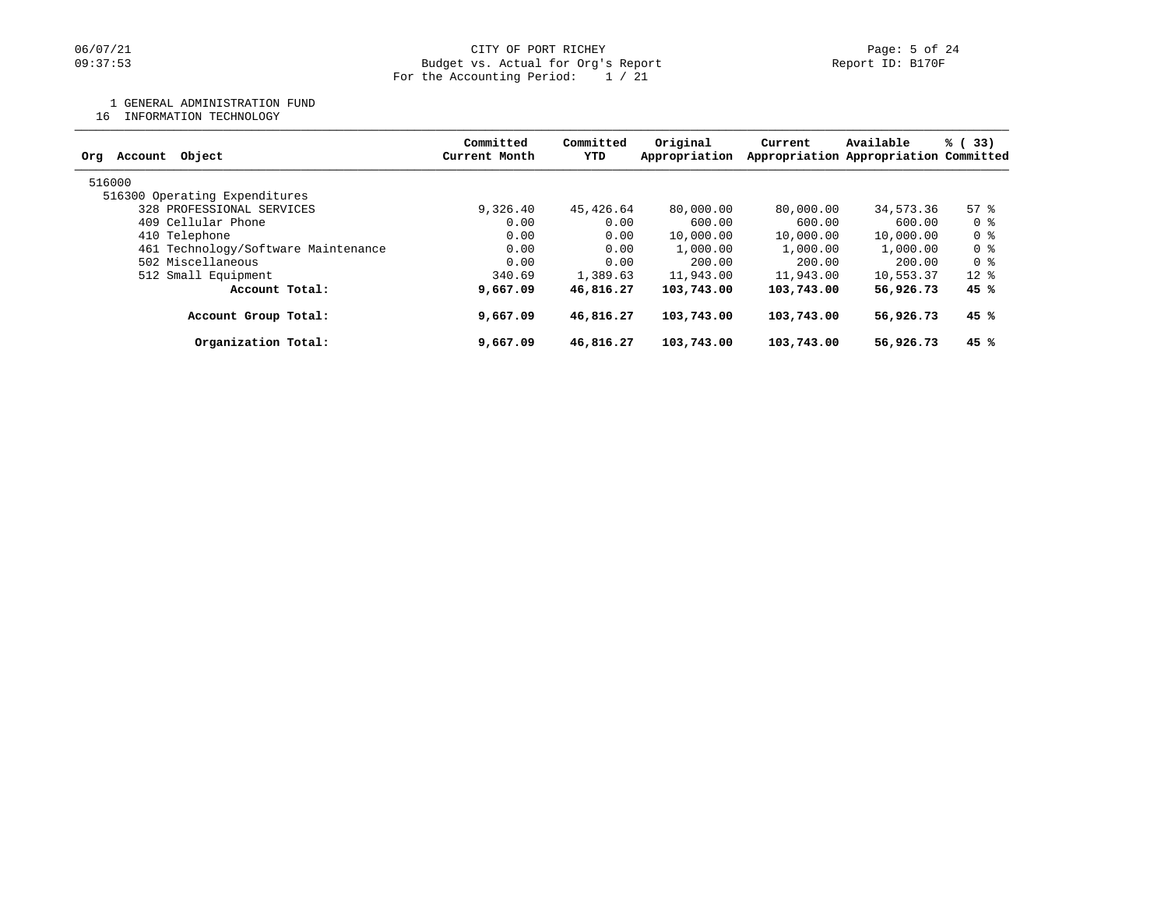## 06/07/21 CITY OF PORT RICHEY Page: 5 of 24<br>
Dudget vs. Actual for Org's Report Company of Report ID: B170F Budget vs. Actual for Org's Report For the Accounting Period: 1 / 21

## 1 GENERAL ADMINISTRATION FUND

16 INFORMATION TECHNOLOGY

| Committed<br>Current Month | Committed<br>YTD | Original<br>Appropriation | Current                                                                                      | Available | % (33)                                |  |
|----------------------------|------------------|---------------------------|----------------------------------------------------------------------------------------------|-----------|---------------------------------------|--|
|                            |                  |                           |                                                                                              |           |                                       |  |
|                            |                  |                           |                                                                                              |           |                                       |  |
| 9,326.40                   |                  | 80,000.00                 | 80,000,00                                                                                    | 34,573.36 | 57%                                   |  |
| 0.00                       |                  | 600.00                    | 600.00                                                                                       | 600.00    | 0 %                                   |  |
| 0.00                       |                  | 10,000.00                 | 10,000.00                                                                                    | 10,000.00 | 0 %                                   |  |
| 0.00                       |                  | 1,000.00                  | 1,000.00                                                                                     | 1,000.00  | 0 %                                   |  |
| 0.00                       |                  | 200.00                    | 200.00                                                                                       | 200.00    | 0 %                                   |  |
| 340.69                     |                  | 11,943.00                 | 11,943.00                                                                                    | 10,553.37 | $12*$                                 |  |
| 9,667.09                   |                  | 103,743.00                | 103,743.00                                                                                   | 56,926.73 | 45%                                   |  |
| 9,667.09                   |                  | 103,743.00                | 103,743.00                                                                                   | 56,926.73 | 45 %                                  |  |
| 9,667.09                   |                  | 103,743.00                | 103,743.00                                                                                   | 56,926.73 | 45%                                   |  |
|                            |                  |                           | 45,426.64<br>0.00<br>0.00<br>0.00<br>0.00<br>1,389.63<br>46,816.27<br>46,816.27<br>46,816.27 |           | Appropriation Appropriation Committed |  |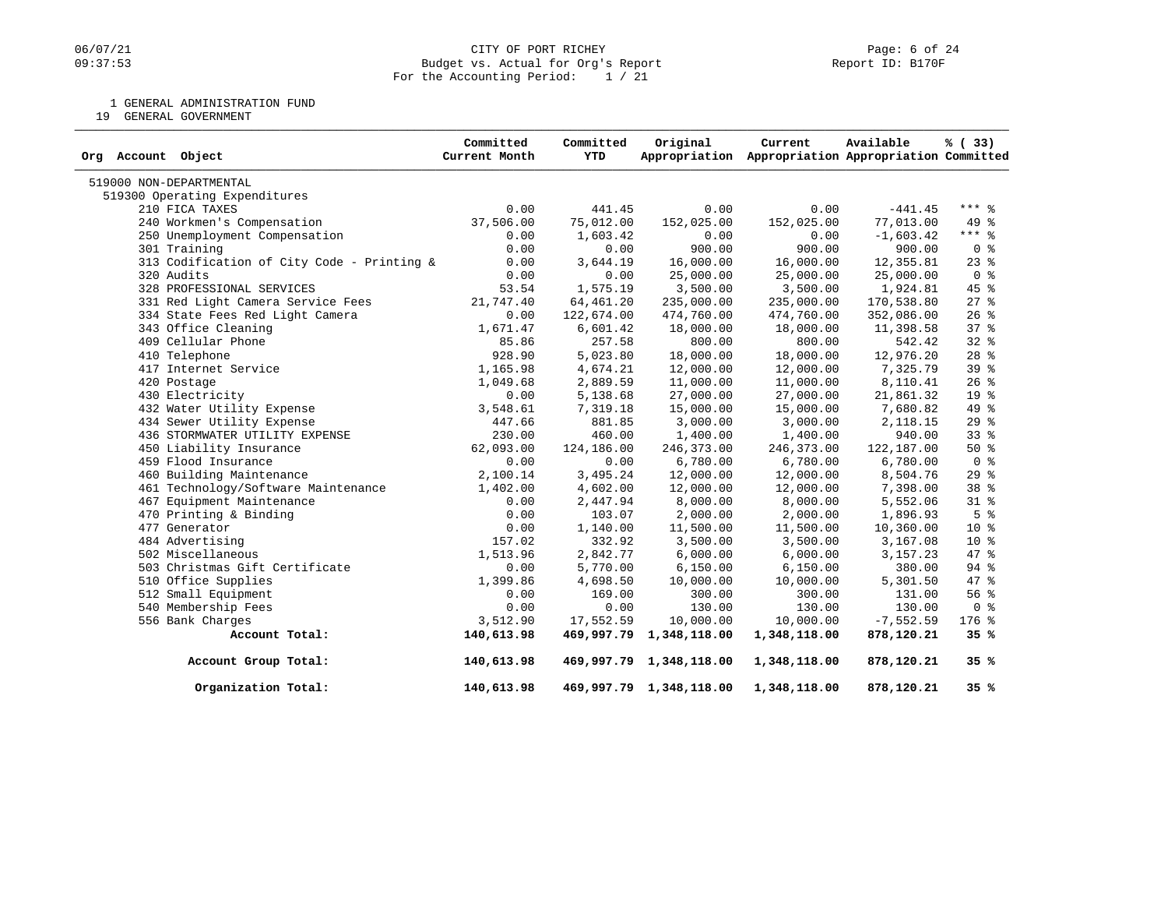## 06/07/21 CITY OF PORT RICHEY PAGE 24<br>
09:37:53 Budget vs. Actual for Org's Report Communication (Page: 6 of 24 Budget vs. Actual for Org's Report For the Accounting Period: 1 / 21

1 GENERAL ADMINISTRATION FUND

19 GENERAL GOVERNMENT

| Org Account Object                         | Committed<br>Current Month | Committed<br>YTD | Original                | Current<br>Appropriation Appropriation Appropriation Committed | Available   | % (33)          |
|--------------------------------------------|----------------------------|------------------|-------------------------|----------------------------------------------------------------|-------------|-----------------|
| 519000 NON-DEPARTMENTAL                    |                            |                  |                         |                                                                |             |                 |
| 519300 Operating Expenditures              |                            |                  |                         |                                                                |             |                 |
| 210 FICA TAXES                             | 0.00                       | 441.45           | 0.00                    | 0.00                                                           | $-441.45$   | $***$ 8         |
| 240 Workmen's Compensation                 | 37,506.00                  | 75,012.00        | 152,025.00              | 152,025.00                                                     | 77,013.00   | 49 %            |
| 250 Unemployment Compensation              | 0.00                       | 1,603.42         | 0.00                    | 0.00                                                           | $-1,603.42$ | $***$ $-$       |
| 301 Training                               | 0.00                       | 0.00             | 900.00                  | 900.00                                                         | 900.00      | 0 <sup>8</sup>  |
| 313 Codification of City Code - Printing & | 0.00                       | 3,644.19         | 16,000.00               | 16,000.00                                                      | 12,355.81   | $23$ $%$        |
| 320 Audits                                 | 0.00                       | 0.00             | 25,000.00               | 25,000.00                                                      | 25,000.00   | 0 <sup>8</sup>  |
| 328 PROFESSIONAL SERVICES                  | 53.54                      | 1,575.19         | 3,500.00                | 3,500.00                                                       | 1,924.81    | $45$ %          |
| 331 Red Light Camera Service Fees          | 21,747.40                  | 64,461.20        | 235,000.00              | 235,000.00                                                     | 170,538.80  | $27$ %          |
| 334 State Fees Red Light Camera            | 0.00                       | 122,674.00       | 474,760.00              | 474,760.00                                                     | 352,086.00  | $26$ %          |
| 343 Office Cleaning                        | 1,671.47                   | 6,601.42         | 18,000.00               | 18,000.00                                                      | 11,398.58   | 37 <sup>8</sup> |
| 409 Cellular Phone                         | 85.86                      | 257.58           | 800.00                  | 800.00                                                         | 542.42      | $32$ $%$        |
| 410 Telephone                              | 928.90                     | 5,023.80         | 18,000.00               | 18,000.00                                                      | 12,976.20   | $28$ $%$        |
| 417 Internet Service                       | 1,165.98                   | 4,674.21         | 12,000.00               | 12,000.00                                                      | 7,325.79    | 39 <sup>8</sup> |
| 420 Postage                                | 1,049.68                   | 2,889.59         | 11,000.00               | 11,000.00                                                      | 8,110.41    | $26$ %          |
| 430 Electricity                            | 0.00                       | 5,138.68         | 27,000.00               | 27,000.00                                                      | 21,861.32   | 19 <sup>°</sup> |
| 432 Water Utility Expense                  | 3,548.61                   | 7,319.18         | 15,000.00               | 15,000.00                                                      | 7,680.82    | 49 %            |
| 434 Sewer Utility Expense                  | 447.66                     | 881.85           | 3,000.00                | 3,000.00                                                       | 2,118.15    | 29%             |
| 436 STORMWATER UTILITY EXPENSE             | 230.00                     | 460.00           | 1,400.00                | 1,400.00                                                       | 940.00      | 33%             |
| 450 Liability Insurance                    | 62,093.00                  | 124,186.00       | 246,373.00              | 246,373.00                                                     | 122,187.00  | 50%             |
| 459 Flood Insurance                        | 0.00                       | 0.00             | 6,780.00                | 6,780.00                                                       | 6,780.00    | 0 <sup>8</sup>  |
| 460 Building Maintenance                   | 2,100.14                   | 3,495.24         | 12,000.00               | 12,000.00                                                      | 8,504.76    | 29%             |
| 461 Technology/Software Maintenance        | 1,402.00                   | 4,602.00         | 12,000.00               | 12,000.00                                                      | 7,398.00    | 38 %            |
| 467 Equipment Maintenance                  | 0.00                       | 2,447.94         | 8,000.00                | 8,000.00                                                       | 5,552.06    | $31$ %          |
| 470 Printing & Binding                     | 0.00                       | 103.07           | 2,000.00                | 2,000.00                                                       | 1,896.93    | 5 <sup>8</sup>  |
| 477 Generator                              | 0.00                       | 1,140.00         | 11,500.00               | 11,500.00                                                      | 10,360.00   | $10*$           |
| 484 Advertising                            | 157.02                     | 332.92           | 3,500.00                | 3,500.00                                                       | 3,167.08    | $10*$           |
| 502 Miscellaneous                          | 1,513.96                   | 2,842.77         | 6,000.00                | 6,000.00                                                       | 3, 157. 23  | 47 %            |
| 503 Christmas Gift Certificate             | 0.00                       | 5,770.00         | 6,150.00                | 6,150.00                                                       | 380.00      | 94 %            |
| 510 Office Supplies                        | 1,399.86                   | 4,698.50         | 10,000.00               | 10,000.00                                                      | 5,301.50    | 47 %            |
| 512 Small Equipment                        | 0.00                       | 169.00           | 300.00                  | 300.00                                                         | 131.00      | 56%             |
| 540 Membership Fees                        | 0.00                       | 0.00             | 130.00                  | 130.00                                                         | 130.00      | 0 <sup>8</sup>  |
| 556 Bank Charges                           | 3,512.90                   | 17,552.59        | 10,000.00               | 10,000.00                                                      | $-7,552.59$ | 176 %           |
| Account Total:                             | 140,613.98                 | 469,997.79       | 1,348,118.00            | 1,348,118.00                                                   | 878,120.21  | 35%             |
| Account Group Total:                       | 140,613.98                 |                  | 469,997.79 1,348,118.00 | 1,348,118.00                                                   | 878,120.21  | 35%             |
| Organization Total:                        | 140,613.98                 |                  | 469,997.79 1,348,118.00 | 1,348,118.00                                                   | 878,120.21  | 35%             |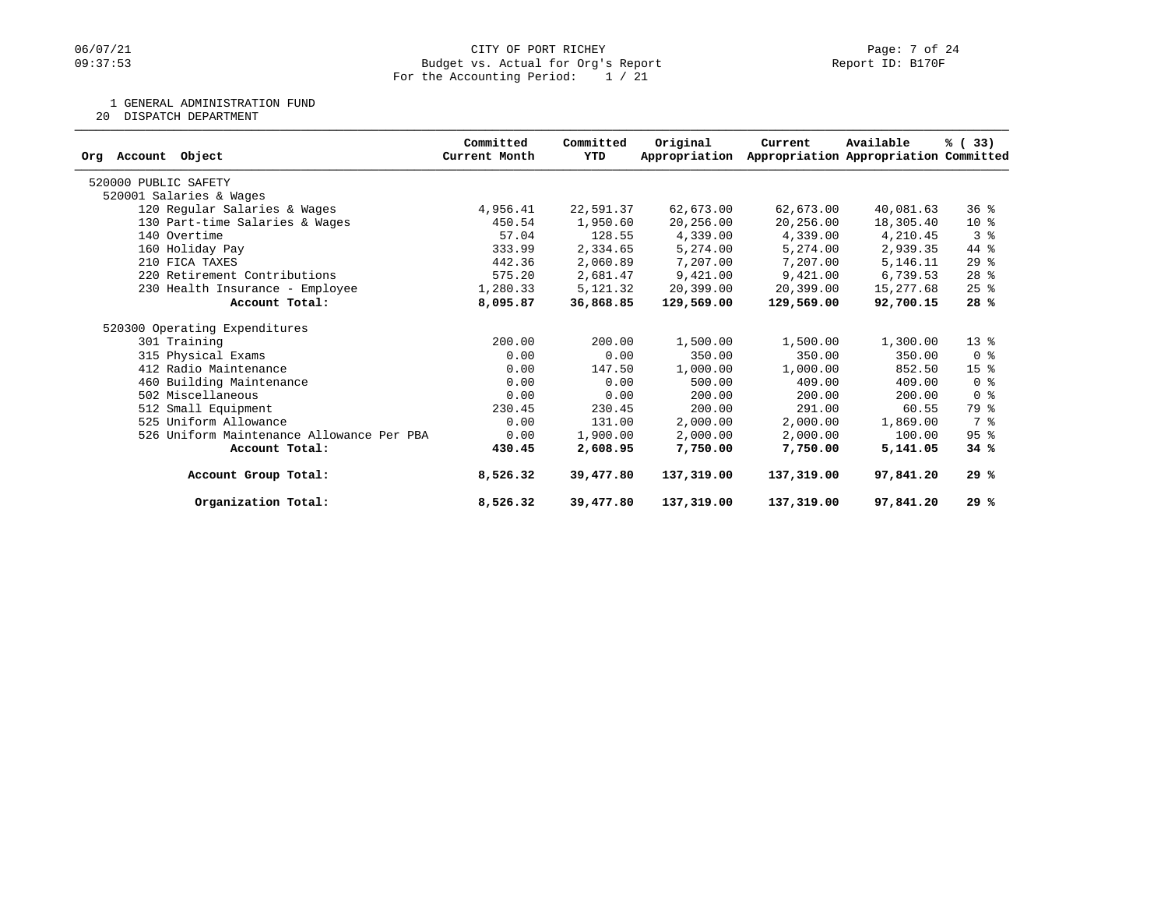## 06/07/21 CITY OF PORT RICHEY PAGES 24<br>
D9:37:53 Budget vs. Actual for Org's Report (1999) Deport ID: B170F Budget vs. Actual for Org's Report For the Accounting Period: 1 / 21

1 GENERAL ADMINISTRATION FUND

20 DISPATCH DEPARTMENT

| Org Account<br>Object                     | Committed<br>Current Month | Committed<br>YTD | Original<br>Appropriation | Current    | Available<br>Appropriation Appropriation Committed | % (33)                             |
|-------------------------------------------|----------------------------|------------------|---------------------------|------------|----------------------------------------------------|------------------------------------|
|                                           |                            |                  |                           |            |                                                    |                                    |
| 520000 PUBLIC SAFETY                      |                            |                  |                           |            |                                                    |                                    |
| 520001 Salaries & Wages                   |                            |                  |                           |            |                                                    |                                    |
| 120 Regular Salaries & Wages              | 4,956.41                   | 22,591.37        | 62,673.00                 | 62,673.00  | 40,081.63                                          | 36%                                |
| 130 Part-time Salaries & Wages            | 450.54                     | 1,950.60         | 20,256.00                 | 20,256.00  | 18,305.40                                          | $10*$                              |
| 140 Overtime                              | 57.04                      | 128.55           | 4,339.00                  | 4,339.00   | 4,210.45                                           | 3%                                 |
| 160 Holiday Pay                           | 333.99                     | 2,334.65         | 5,274.00                  | 5,274.00   | 2,939.35                                           | 44 %                               |
| 210 FICA TAXES                            | 442.36                     | 2,060.89         | 7,207.00                  | 7,207.00   | 5,146.11                                           | 29%                                |
| 220 Retirement Contributions              | 575.20                     | 2,681.47         | 9,421.00                  | 9,421.00   | 6,739.53                                           | $28$ %                             |
| 230 Health Insurance - Employee           | 1,280.33                   | 5,121.32         | 20,399.00                 | 20,399.00  | 15,277.68                                          | $25$ $\frac{6}{5}$                 |
| Account Total:                            | 8,095.87                   | 36,868.85        | 129,569.00                | 129,569.00 | 92,700.15                                          | 28%                                |
| 520300 Operating Expenditures             |                            |                  |                           |            |                                                    |                                    |
| 301 Training                              | 200.00                     | 200.00           | 1,500.00                  | 1,500.00   | 1,300.00                                           | $13*$                              |
| 315 Physical Exams                        | 0.00                       | 0.00             | 350.00                    | 350.00     | 350.00                                             | $0 \text{ }$ $\text{ }$ $\text{ }$ |
| 412 Radio Maintenance                     | 0.00                       | 147.50           | 1,000.00                  | 1,000.00   | 852.50                                             | 15 <sup>8</sup>                    |
| 460 Building Maintenance                  | 0.00                       | 0.00             | 500.00                    | 409.00     | 409.00                                             | 0 <sup>8</sup>                     |
| 502 Miscellaneous                         | 0.00                       | 0.00             | 200.00                    | 200.00     | 200.00                                             | 0 <sup>8</sup>                     |
| 512 Small Equipment                       | 230.45                     | 230.45           | 200.00                    | 291.00     | 60.55                                              | 79 %                               |
| 525 Uniform Allowance                     | 0.00                       | 131.00           | 2,000.00                  | 2,000.00   | 1,869.00                                           | 7 %                                |
| 526 Uniform Maintenance Allowance Per PBA | 0.00                       | 1,900.00         | 2,000.00                  | 2,000.00   | 100.00                                             | 95 <sup>8</sup>                    |
| Account Total:                            | 430.45                     | 2,608.95         | 7,750.00                  | 7,750.00   | 5,141.05                                           | 34 %                               |
| Account Group Total:                      | 8,526.32                   | 39,477.80        | 137,319.00                | 137,319.00 | 97,841.20                                          | 29%                                |
| Organization Total:                       | 8,526.32                   | 39,477.80        | 137,319.00                | 137,319.00 | 97,841.20                                          | 29%                                |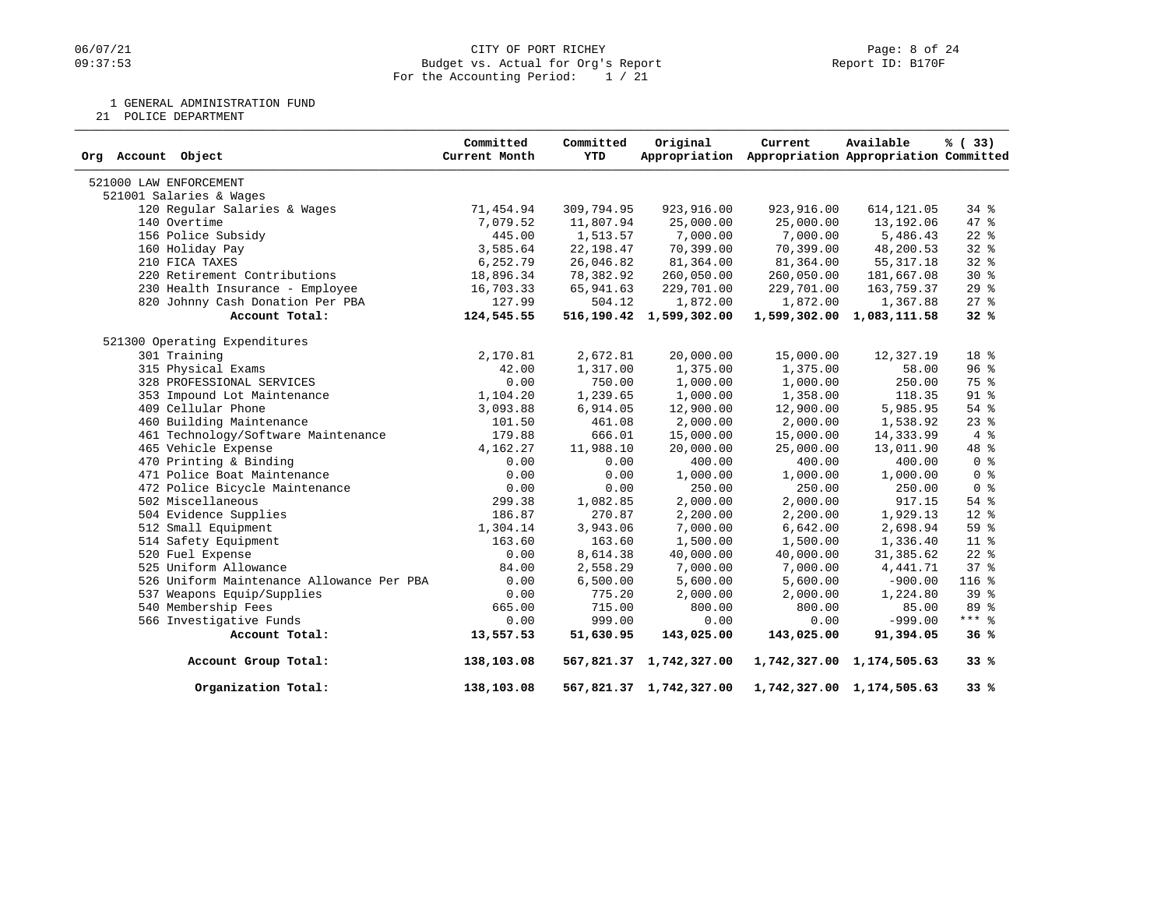## 06/07/21 CITY OF PORT RICHEY PAGE 24<br>
09:37:53 Budget vs. Actual for Org's Report Communication (Page: 8 of 24 Budget vs. Actual for Org's Report For the Accounting Period: 1 / 21

1 GENERAL ADMINISTRATION FUND

21 POLICE DEPARTMENT

| Org Account Object                        | Committed<br>Current Month | Committed<br><b>YTD</b> | Original                | Current<br>Appropriation Appropriation Appropriation Committed | Available                 | % (33)          |
|-------------------------------------------|----------------------------|-------------------------|-------------------------|----------------------------------------------------------------|---------------------------|-----------------|
| 521000 LAW ENFORCEMENT                    |                            |                         |                         |                                                                |                           |                 |
| 521001 Salaries & Wages                   |                            |                         |                         |                                                                |                           |                 |
| 120 Regular Salaries & Wages              | 71,454.94                  | 309,794.95              | 923,916.00              | 923,916.00                                                     | 614, 121.05               | $34$ $%$        |
| 140 Overtime                              | 7,079.52                   | 11,807.94               | 25,000.00               | 25,000.00                                                      | 13,192.06                 | $47*$           |
| 156 Police Subsidy                        | 445.00                     | 1,513.57                | 7,000.00                | 7,000.00                                                       | 5,486.43                  | $22$ %          |
| 160 Holiday Pay                           | 3,585.64                   | 22, 198.47              | 70,399.00               | 70,399.00                                                      | 48,200.53                 | $32$ $%$        |
| 210 FICA TAXES                            | 6,252.79                   | 26,046.82               | 81,364.00               | 81,364.00                                                      | 55, 317.18                | 32%             |
| 220 Retirement Contributions              | 18,896.34                  | 78,382.92               | 260,050.00              | 260,050.00                                                     | 181,667.08                | $30*$           |
| 230 Health Insurance - Employee           | 16,703.33                  | 65,941.63               | 229,701.00              | 229,701.00                                                     | 163,759.37                | 29%             |
| 820 Johnny Cash Donation Per PBA          | 127.99                     | 504.12                  | 1,872.00                | 1,872.00                                                       | 1,367.88                  | $27$ %          |
| Account Total:                            | 124,545.55                 |                         | 516,190.42 1,599,302.00 |                                                                | 1,599,302.00 1,083,111.58 | 32%             |
| 521300 Operating Expenditures             |                            |                         |                         |                                                                |                           |                 |
| 301 Training                              | 2,170.81                   | 2,672.81                | 20,000.00               | 15,000.00                                                      | 12,327.19                 | 18 %            |
| 315 Physical Exams                        | 42.00                      | 1,317.00                | 1,375.00                | 1,375.00                                                       | 58.00                     | 96 <sup>8</sup> |
| 328 PROFESSIONAL SERVICES                 | 0.00                       | 750.00                  | 1,000.00                | 1,000.00                                                       | 250.00                    | 75 %            |
| 353 Impound Lot Maintenance               | 1,104.20                   | 1,239.65                | 1,000.00                | 1,358.00                                                       | 118.35                    | $91$ %          |
| 409 Cellular Phone                        | 3,093.88                   | 6,914.05                | 12,900.00               | 12,900.00                                                      | 5,985.95                  | 54 %            |
| 460 Building Maintenance                  | 101.50                     | 461.08                  | 2,000.00                | 2,000.00                                                       | 1,538.92                  | $23$ $%$        |
| 461 Technology/Software Maintenance       | 179.88                     | 666.01                  | 15,000.00               | 15,000.00                                                      | 14,333.99                 | 4%              |
| 465 Vehicle Expense                       | 4,162.27                   | 11,988.10               | 20,000.00               | 25,000.00                                                      | 13,011.90                 | 48 %            |
| 470 Printing & Binding                    | 0.00                       | 0.00                    | 400.00                  | 400.00                                                         | 400.00                    | 0 <sup>8</sup>  |
| 471 Police Boat Maintenance               | 0.00                       | 0.00                    | 1,000.00                | 1,000.00                                                       | 1,000.00                  | 0 <sup>8</sup>  |
| 472 Police Bicycle Maintenance            | 0.00                       | 0.00                    | 250.00                  | 250.00                                                         | 250.00                    | 0 <sup>8</sup>  |
| 502 Miscellaneous                         | 299.38                     | 1,082.85                | 2,000.00                | 2,000.00                                                       | 917.15                    | $54$ $%$        |
| 504 Evidence Supplies                     | 186.87                     | 270.87                  | 2,200.00                | 2,200.00                                                       | 1,929.13                  | $12$ %          |
| 512 Small Equipment                       | 1,304.14                   | 3,943.06                | 7,000.00                | 6,642.00                                                       | 2,698.94                  | 59 %            |
| 514 Safety Equipment                      | 163.60                     | 163.60                  | 1,500.00                | 1,500.00                                                       | 1,336.40                  | 11 %            |
| 520 Fuel Expense                          | 0.00                       | 8,614.38                | 40,000.00               | 40,000.00                                                      | 31,385.62                 | $22$ $%$        |
| 525 Uniform Allowance                     | 84.00                      | 2,558.29                | 7,000.00                | 7,000.00                                                       | 4,441.71                  | 37 <sup>8</sup> |
| 526 Uniform Maintenance Allowance Per PBA | 0.00                       | 6,500.00                | 5,600.00                | 5,600.00                                                       | $-900.00$                 | 116 %           |
| 537 Weapons Equip/Supplies                | 0.00                       | 775.20                  | 2,000.00                | 2,000.00                                                       | 1,224.80                  | 39 <sup>8</sup> |
| 540 Membership Fees                       | 665.00                     | 715.00                  | 800.00                  | 800.00                                                         | 85.00                     | 89 %            |
| 566 Investigative Funds                   | 0.00                       | 999.00                  | 0.00                    | 0.00                                                           | $-999.00$                 | $***$ 8         |
| Account Total:                            | 13,557.53                  | 51,630.95               | 143,025.00              | 143,025.00                                                     | 91,394.05                 | 36%             |
| Account Group Total:                      | 138,103.08                 |                         | 567,821.37 1,742,327.00 |                                                                | 1,742,327.00 1,174,505.63 | 33%             |
| Organization Total:                       | 138,103.08                 |                         | 567,821.37 1,742,327.00 |                                                                | 1,742,327.00 1,174,505.63 | 33%             |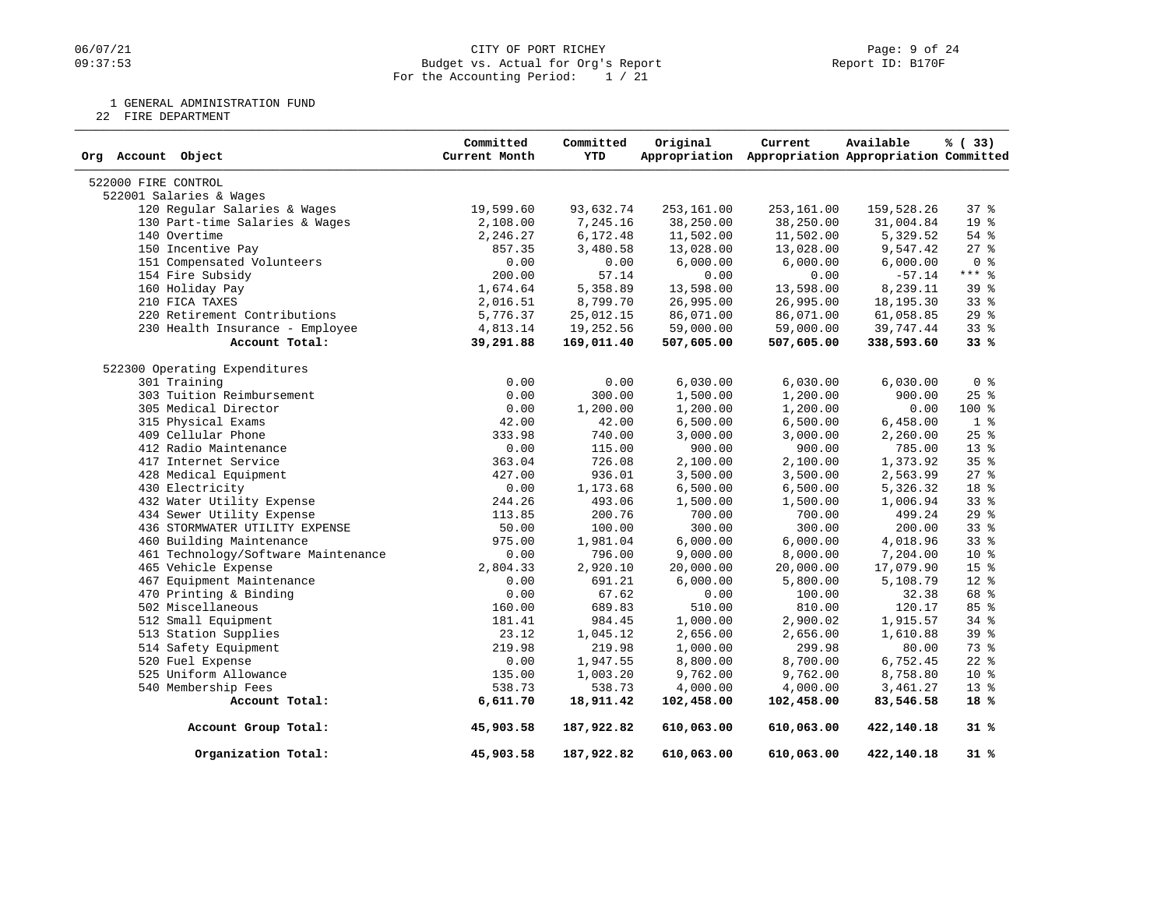## 06/07/21 CITY OF PORT RICHEY PAGE 24<br>
09:37:53 Budget vs. Actual for Org's Report Communication (Page: 9 of 24 Budget vs. Actual for Org's Report For the Accounting Period: 1 / 21

1 GENERAL ADMINISTRATION FUND

22 FIRE DEPARTMENT

| Org Account Object                  | Committed<br>Current Month | Committed<br><b>YTD</b> | Original   | Current<br>Appropriation Appropriation Appropriation Committed | Available   | % (33)          |
|-------------------------------------|----------------------------|-------------------------|------------|----------------------------------------------------------------|-------------|-----------------|
| 522000 FIRE CONTROL                 |                            |                         |            |                                                                |             |                 |
| 522001 Salaries & Wages             |                            |                         |            |                                                                |             |                 |
| 120 Regular Salaries & Wages        | 19,599.60                  | 93,632.74               | 253,161.00 | 253,161.00                                                     | 159,528.26  | 37%             |
| 130 Part-time Salaries & Wages      | 2,108.00                   | 7,245.16                | 38,250.00  | 38,250.00                                                      | 31,004.84   | 19 <sup>°</sup> |
| 140 Overtime                        | 2,246.27                   | 6,172.48                | 11,502.00  | 11,502.00                                                      | 5,329.52    | 54 %            |
| 150 Incentive Pay                   | 857.35                     | 3,480.58                | 13,028.00  | 13,028.00                                                      | 9,547.42    | $27$ $%$        |
| 151 Compensated Volunteers          | 0.00                       | 0.00                    | 6,000.00   | 6,000.00                                                       | 6,000.00    | 0 <sup>8</sup>  |
| 154 Fire Subsidy                    | 200.00                     | 57.14                   | 0.00       | 0.00                                                           | $-57.14$    | $***$ $-$       |
| 160 Holiday Pay                     | 1,674.64                   | 5,358.89                | 13,598.00  | 13,598.00                                                      | 8,239.11    | 39 <sup>8</sup> |
| 210 FICA TAXES                      | 2,016.51                   | 8,799.70                | 26,995.00  | 26,995.00                                                      | 18, 195. 30 | 33 <sup>8</sup> |
| 220 Retirement Contributions        | 5,776.37                   | 25,012.15               | 86,071.00  | 86,071.00                                                      | 61,058.85   | 29%             |
| 230 Health Insurance - Employee     | 4,813.14                   | 19,252.56               | 59,000.00  | 59,000.00                                                      | 39,747.44   | 33%             |
| Account Total:                      | 39,291.88                  | 169,011.40              | 507,605.00 | 507,605.00                                                     | 338,593.60  | 33%             |
| 522300 Operating Expenditures       |                            |                         |            |                                                                |             |                 |
| 301 Training                        | 0.00                       | 0.00                    | 6,030.00   | 6,030.00                                                       | 6,030.00    | 0 <sup>8</sup>  |
| 303 Tuition Reimbursement           | 0.00                       | 300.00                  | 1,500.00   | 1,200.00                                                       | 900.00      | $25$ $%$        |
| 305 Medical Director                | 0.00                       | 1,200.00                | 1,200.00   | 1,200.00                                                       | 0.00        | $100*$          |
| 315 Physical Exams                  | 42.00                      | 42.00                   | 6,500.00   | 6,500.00                                                       | 6,458.00    | 1 <sup>8</sup>  |
| 409 Cellular Phone                  | 333.98                     | 740.00                  | 3,000.00   | 3,000.00                                                       | 2,260.00    | 25%             |
| 412 Radio Maintenance               | 0.00                       | 115.00                  | 900.00     | 900.00                                                         | 785.00      | 13 <sup>°</sup> |
| 417 Internet Service                | 363.04                     | 726.08                  | 2,100.00   | 2,100.00                                                       | 1,373.92    | 35%             |
| 428 Medical Equipment               | 427.00                     | 936.01                  | 3,500.00   | 3,500.00                                                       | 2,563.99    | 27%             |
| 430 Electricity                     | 0.00                       | 1,173.68                | 6,500.00   | 6,500.00                                                       | 5,326.32    | 18 %            |
| 432 Water Utility Expense           | 244.26                     | 493.06                  | 1,500.00   | 1,500.00                                                       | 1,006.94    | 33%             |
| 434 Sewer Utility Expense           | 113.85                     | 200.76                  | 700.00     | 700.00                                                         | 499.24      | 29%             |
| 436 STORMWATER UTILITY EXPENSE      | 50.00                      | 100.00                  | 300.00     | 300.00                                                         | 200.00      | 338             |
| 460 Building Maintenance            | 975.00                     | 1,981.04                | 6,000.00   | 6,000.00                                                       | 4,018.96    | 33%             |
| 461 Technology/Software Maintenance | 0.00                       | 796.00                  | 9,000.00   | 8,000.00                                                       | 7,204.00    | 10 %            |
| 465 Vehicle Expense                 | 2,804.33                   | 2,920.10                | 20,000.00  | 20,000.00                                                      | 17,079.90   | 15 <sup>8</sup> |
| 467 Equipment Maintenance           | 0.00                       | 691.21                  | 6,000.00   | 5,800.00                                                       | 5,108.79    | 12 %            |
| 470 Printing & Binding              | 0.00                       | 67.62                   | 0.00       | 100.00                                                         | 32.38       | 68 %            |
| 502 Miscellaneous                   | 160.00                     | 689.83                  | 510.00     | 810.00                                                         | 120.17      | 85 %            |
| 512 Small Equipment                 | 181.41                     | 984.45                  | 1,000.00   | 2,900.02                                                       | 1,915.57    | 34 %            |
| 513 Station Supplies                | 23.12                      | 1,045.12                | 2,656.00   | 2,656.00                                                       | 1,610.88    | 39 %            |
| 514 Safety Equipment                | 219.98                     | 219.98                  | 1,000.00   | 299.98                                                         | 80.00       | 73 %            |
| 520 Fuel Expense                    | 0.00                       | 1,947.55                | 8,800.00   | 8,700.00                                                       | 6,752.45    | $22$ %          |
| 525 Uniform Allowance               | 135.00                     | 1,003.20                | 9,762.00   | 9,762.00                                                       | 8,758.80    | $10*$           |
| 540 Membership Fees                 | 538.73                     | 538.73                  | 4,000.00   | 4,000.00                                                       | 3,461.27    | $13*$           |
| Account Total:                      | 6,611.70                   | 18,911.42               | 102,458.00 | 102,458.00                                                     | 83,546.58   | 18%             |
| Account Group Total:                | 45,903.58                  | 187,922.82              | 610,063.00 | 610,063.00                                                     | 422,140.18  | 31%             |
| Organization Total:                 | 45,903.58                  | 187,922.82              | 610,063.00 | 610,063.00                                                     | 422,140.18  | 31%             |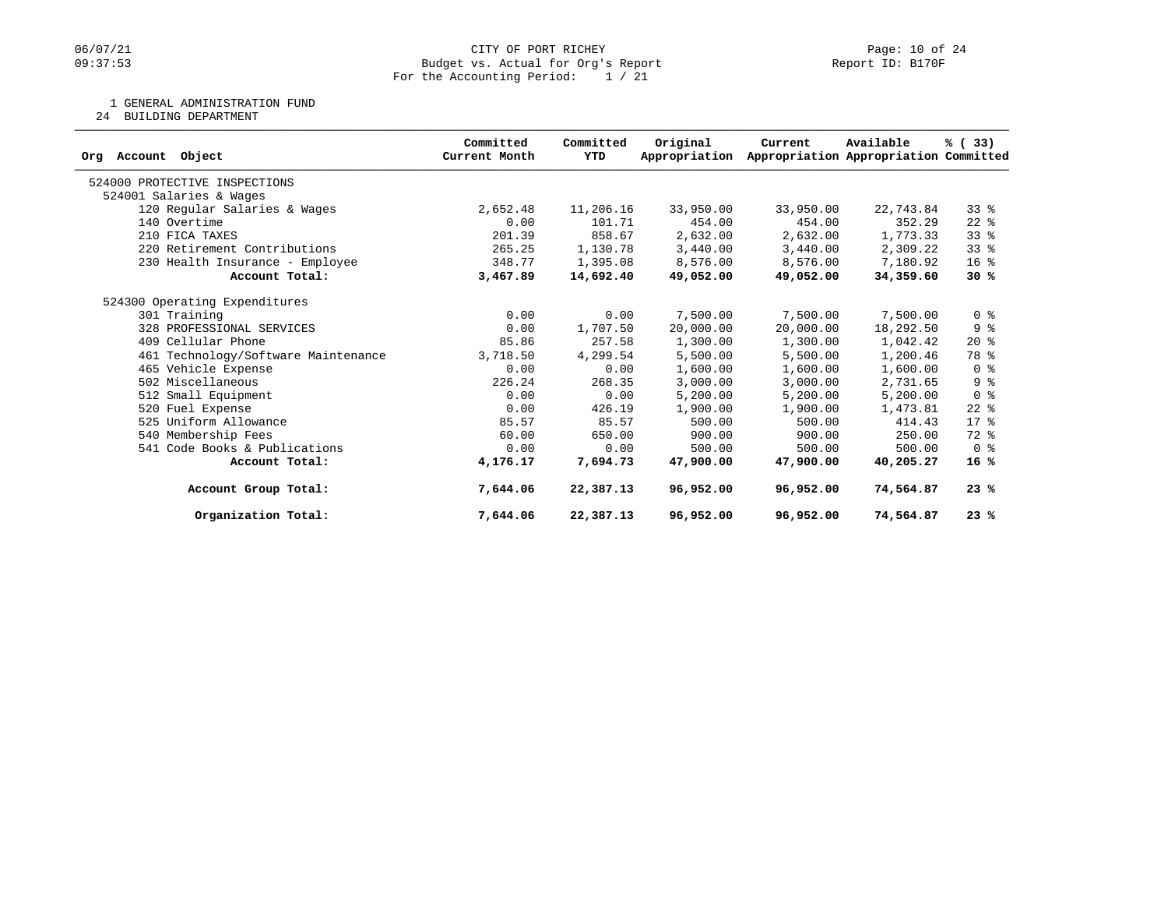## 06/07/21 CITY OF PORT RICHEY Page: 10 of 24<br>
Budget vs. Actual for Org's Report Port 10: B170F PORT RICHEY Budget vs. Actual for Org's Report For the Accounting Period: 1 / 21

1 GENERAL ADMINISTRATION FUND

24 BUILDING DEPARTMENT

| Account Object<br>Orq               | Committed<br>Current Month | Committed<br>YTD | Original<br>Appropriation | Current   | Available<br>Appropriation Appropriation Committed | % (33)          |
|-------------------------------------|----------------------------|------------------|---------------------------|-----------|----------------------------------------------------|-----------------|
| 524000 PROTECTIVE INSPECTIONS       |                            |                  |                           |           |                                                    |                 |
| 524001 Salaries & Wages             |                            |                  |                           |           |                                                    |                 |
| 120 Regular Salaries & Wages        | 2,652.48                   | 11,206.16        | 33,950.00                 | 33,950.00 | 22,743.84                                          | $33*$           |
| 140 Overtime                        | 0.00                       | 101.71           | 454.00                    | 454.00    | 352.29                                             | $22$ $%$        |
| 210 FICA TAXES                      | 201.39                     | 858.67           | 2,632.00                  | 2,632.00  | 1,773.33                                           | 338             |
| 220 Retirement Contributions        | 265.25                     | 1,130.78         | 3,440.00                  | 3,440.00  | 2,309.22                                           | 33%             |
| 230 Health Insurance - Employee     | 348.77                     | 1,395.08         | 8,576.00                  | 8,576.00  | 7,180.92                                           | 16 <sup>8</sup> |
| Account Total:                      | 3,467.89                   | 14,692.40        | 49,052.00                 | 49,052.00 | 34,359.60                                          | 30%             |
| 524300 Operating Expenditures       |                            |                  |                           |           |                                                    |                 |
| 301 Training                        | 0.00                       | 0.00             | 7,500.00                  | 7,500.00  | 7,500.00                                           | 0 <sup>8</sup>  |
| 328 PROFESSIONAL SERVICES           | 0.00                       | 1,707.50         | 20,000.00                 | 20,000.00 | 18,292.50                                          | 9%              |
| 409 Cellular Phone                  | 85.86                      | 257.58           | 1,300.00                  | 1,300.00  | 1,042.42                                           | $20*$           |
| 461 Technology/Software Maintenance | 3,718.50                   | 4,299.54         | 5,500.00                  | 5,500.00  | 1,200.46                                           | 78 %            |
| 465 Vehicle Expense                 | 0.00                       | 0.00             | 1,600.00                  | 1,600.00  | 1,600.00                                           | 0 <sup>8</sup>  |
| 502 Miscellaneous                   | 226.24                     | 268.35           | 3,000.00                  | 3,000.00  | 2,731.65                                           | 9 <sup>°</sup>  |
| 512 Small Equipment                 | 0.00                       | 0.00             | 5,200.00                  | 5,200.00  | 5,200.00                                           | 0 <sup>8</sup>  |
| 520 Fuel Expense                    | 0.00                       | 426.19           | 1,900.00                  | 1,900.00  | 1,473.81                                           | $22$ %          |
| 525 Uniform Allowance               | 85.57                      | 85.57            | 500.00                    | 500.00    | 414.43                                             | $17*$           |
| 540 Membership Fees                 | 60.00                      | 650.00           | 900.00                    | 900.00    | 250.00                                             | 72 %            |
| 541 Code Books & Publications       | 0.00                       | 0.00             | 500.00                    | 500.00    | 500.00                                             | 0 <sup>8</sup>  |
| Account Total:                      | 4,176.17                   | 7,694.73         | 47,900,00                 | 47,900.00 | 40,205.27                                          | 16%             |
| Account Group Total:                | 7,644.06                   | 22,387.13        | 96,952.00                 | 96,952.00 | 74,564.87                                          | 23%             |
| Organization Total:                 | 7,644.06                   | 22,387.13        | 96,952.00                 | 96,952.00 | 74,564.87                                          | 23%             |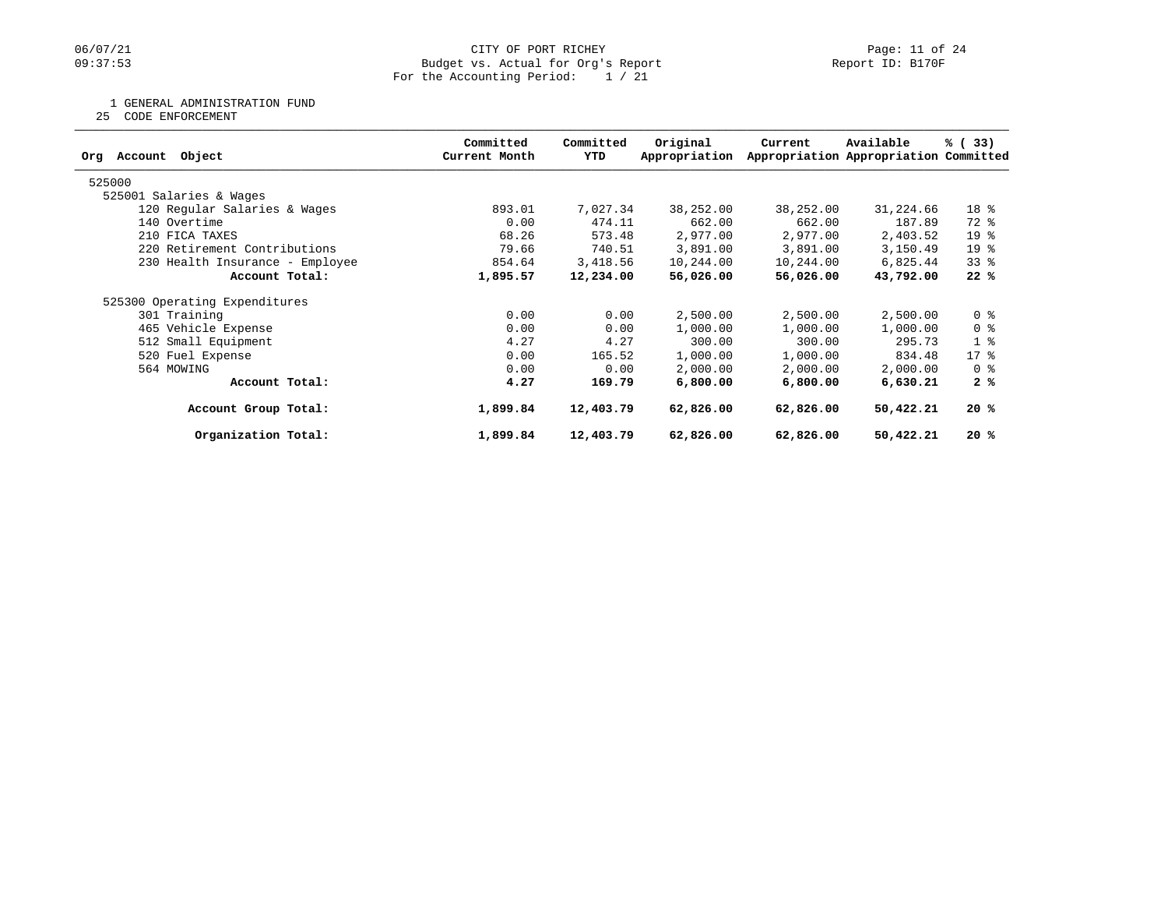## 06/07/21 CITY OF PORT RICHEY Page: 11 of 24<br>
Budget vs. Actual for Org's Report Port 1999 (Peport ID: B170F Budget vs. Actual for Org's Report For the Accounting Period: 1 / 21

1 GENERAL ADMINISTRATION FUND

25 CODE ENFORCEMENT

| Object<br>Account<br>Orq        | Committed<br>Current Month | Committed<br>YTD | Original<br>Appropriation | Current   | Available<br>Appropriation Appropriation Committed | % (33)          |
|---------------------------------|----------------------------|------------------|---------------------------|-----------|----------------------------------------------------|-----------------|
| 525000                          |                            |                  |                           |           |                                                    |                 |
| 525001 Salaries & Wages         |                            |                  |                           |           |                                                    |                 |
| 120 Regular Salaries & Wages    | 893.01                     | 7,027.34         | 38,252.00                 | 38,252.00 | 31,224.66                                          | 18 %            |
| 140 Overtime                    | 0.00                       | 474.11           | 662.00                    | 662.00    | 187.89                                             | 72 %            |
| 210 FICA TAXES                  | 68.26                      | 573.48           | 2,977.00                  | 2,977.00  | 2,403.52                                           | 19 <sup>°</sup> |
| 220 Retirement Contributions    | 79.66                      | 740.51           | 3,891.00                  | 3,891.00  | 3,150.49                                           | 19 <sup>°</sup> |
| 230 Health Insurance - Employee | 854.64                     | 3,418.56         | 10,244.00                 | 10,244.00 | 6,825.44                                           | $33$ $%$        |
| Account Total:                  | 1,895.57                   | 12,234.00        | 56,026.00                 | 56,026.00 | 43,792.00                                          | 22%             |
| 525300 Operating Expenditures   |                            |                  |                           |           |                                                    |                 |
| 301 Training                    | 0.00                       | 0.00             | 2,500.00                  | 2,500.00  | 2,500.00                                           | 0 <sup>8</sup>  |
| 465 Vehicle Expense             | 0.00                       | 0.00             | 1,000.00                  | 1,000.00  | 1,000.00                                           | 0 <sup>8</sup>  |
| 512 Small Equipment             | 4.27                       | 4.27             | 300.00                    | 300.00    | 295.73                                             | 1 <sup>8</sup>  |
| 520 Fuel Expense                | 0.00                       | 165.52           | 1,000.00                  | 1,000.00  | 834.48                                             | $17 - 8$        |
| 564 MOWING                      | 0.00                       | 0.00             | 2,000.00                  | 2,000.00  | 2,000.00                                           | 0 %             |
| Account Total:                  | 4.27                       | 169.79           | 6,800.00                  | 6,800.00  | 6,630.21                                           | 2%              |
| Account Group Total:            | 1,899.84                   | 12,403.79        | 62,826.00                 | 62,826.00 | 50,422.21                                          | 20%             |
| Organization Total:             | 1,899.84                   | 12,403.79        | 62,826.00                 | 62,826.00 | 50,422.21                                          | 20%             |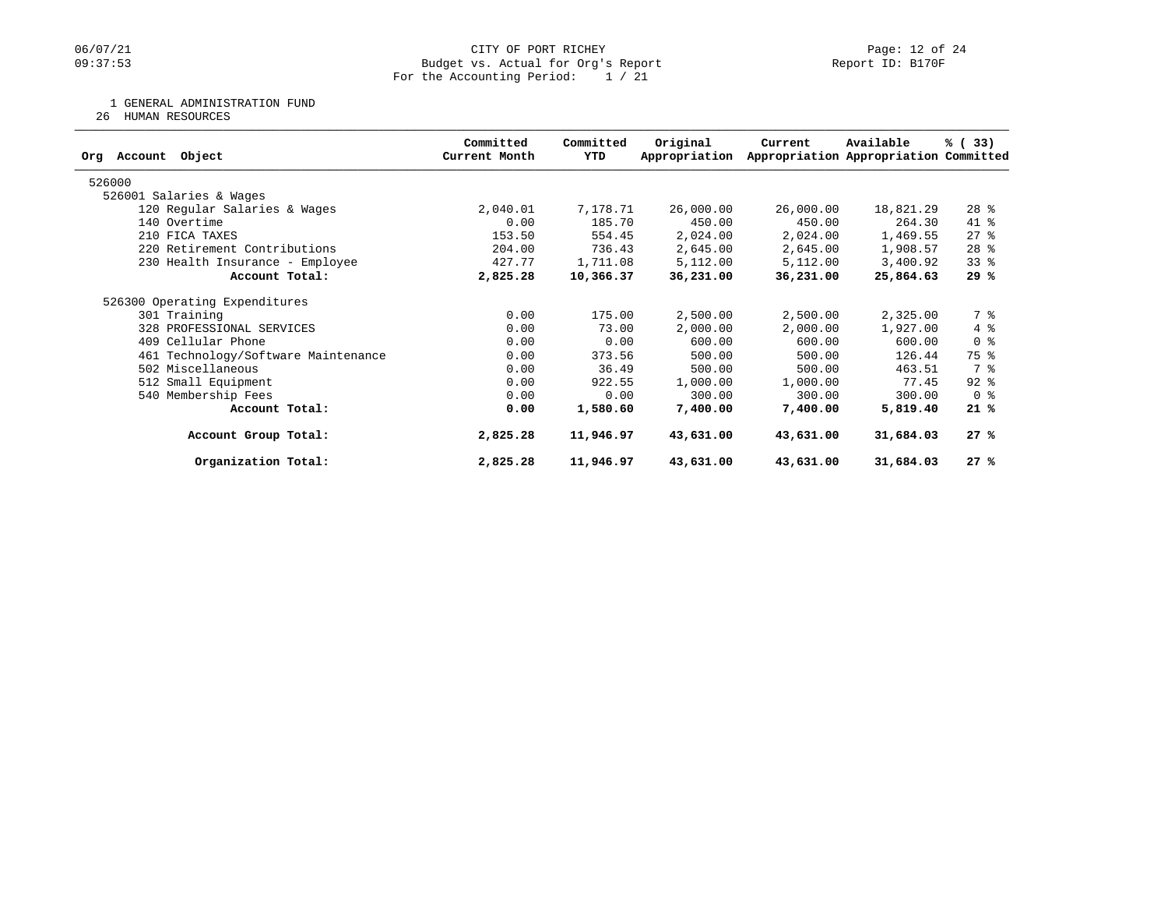## 06/07/21 CITY OF PORT RICHEY Page: 12 of 24<br>
Budget vs. Actual for Org's Report Port 10: B170F PORT RICHEY Budget vs. Actual for Org's Report For the Accounting Period: 1 / 21

1 GENERAL ADMINISTRATION FUND

26 HUMAN RESOURCES

| Object<br>Account<br>Orq            | Committed<br>Current Month | Committed<br>YTD | Original<br>Appropriation | Current   | Available<br>Appropriation Appropriation Committed | % (33)         |
|-------------------------------------|----------------------------|------------------|---------------------------|-----------|----------------------------------------------------|----------------|
| 526000                              |                            |                  |                           |           |                                                    |                |
| 526001 Salaries & Wages             |                            |                  |                           |           |                                                    |                |
| 120 Regular Salaries & Wages        | 2,040.01                   | 7,178.71         | 26,000.00                 | 26,000.00 | 18,821.29                                          | $28$ %         |
| 140 Overtime                        | 0.00                       | 185.70           | 450.00                    | 450.00    | 264.30                                             | 41 %           |
| 210 FICA TAXES                      | 153.50                     | 554.45           | 2,024.00                  | 2,024.00  | 1,469.55                                           | $27$ %         |
| 220 Retirement Contributions        | 204.00                     | 736.43           | 2,645.00                  | 2,645.00  | 1,908.57                                           | $28$ %         |
| 230 Health Insurance - Employee     | 427.77                     | 1,711.08         | 5,112.00                  | 5,112.00  | 3,400.92                                           | 33%            |
| Account Total:                      | 2,825.28                   | 10,366.37        | 36,231.00                 | 36,231.00 | 25,864.63                                          | 29%            |
| 526300 Operating Expenditures       |                            |                  |                           |           |                                                    |                |
| 301 Training                        | 0.00                       | 175.00           | 2,500.00                  | 2,500.00  | 2,325.00                                           | 7 %            |
| 328 PROFESSIONAL SERVICES           | 0.00                       | 73.00            | 2,000.00                  | 2,000.00  | 1,927.00                                           | 4%             |
| 409 Cellular Phone                  | 0.00                       | 0.00             | 600.00                    | 600.00    | 600.00                                             | 0 <sup>8</sup> |
| 461 Technology/Software Maintenance | 0.00                       | 373.56           | 500.00                    | 500.00    | 126.44                                             | 75 %           |
| 502 Miscellaneous                   | 0.00                       | 36.49            | 500.00                    | 500.00    | 463.51                                             | 7 %            |
| 512 Small Equipment                 | 0.00                       | 922.55           | 1,000.00                  | 1,000.00  | 77.45                                              | $92$ $%$       |
| 540 Membership Fees                 | 0.00                       | 0.00             | 300.00                    | 300.00    | 300.00                                             | 0 <sup>8</sup> |
| Account Total:                      | 0.00                       | 1,580.60         | 7,400.00                  | 7,400.00  | 5,819.40                                           | 21%            |
| Account Group Total:                | 2,825.28                   | 11,946.97        | 43,631.00                 | 43,631.00 | 31,684.03                                          | 27%            |
| Organization Total:                 | 2,825.28                   | 11,946.97        | 43,631.00                 | 43,631.00 | 31,684.03                                          | 27%            |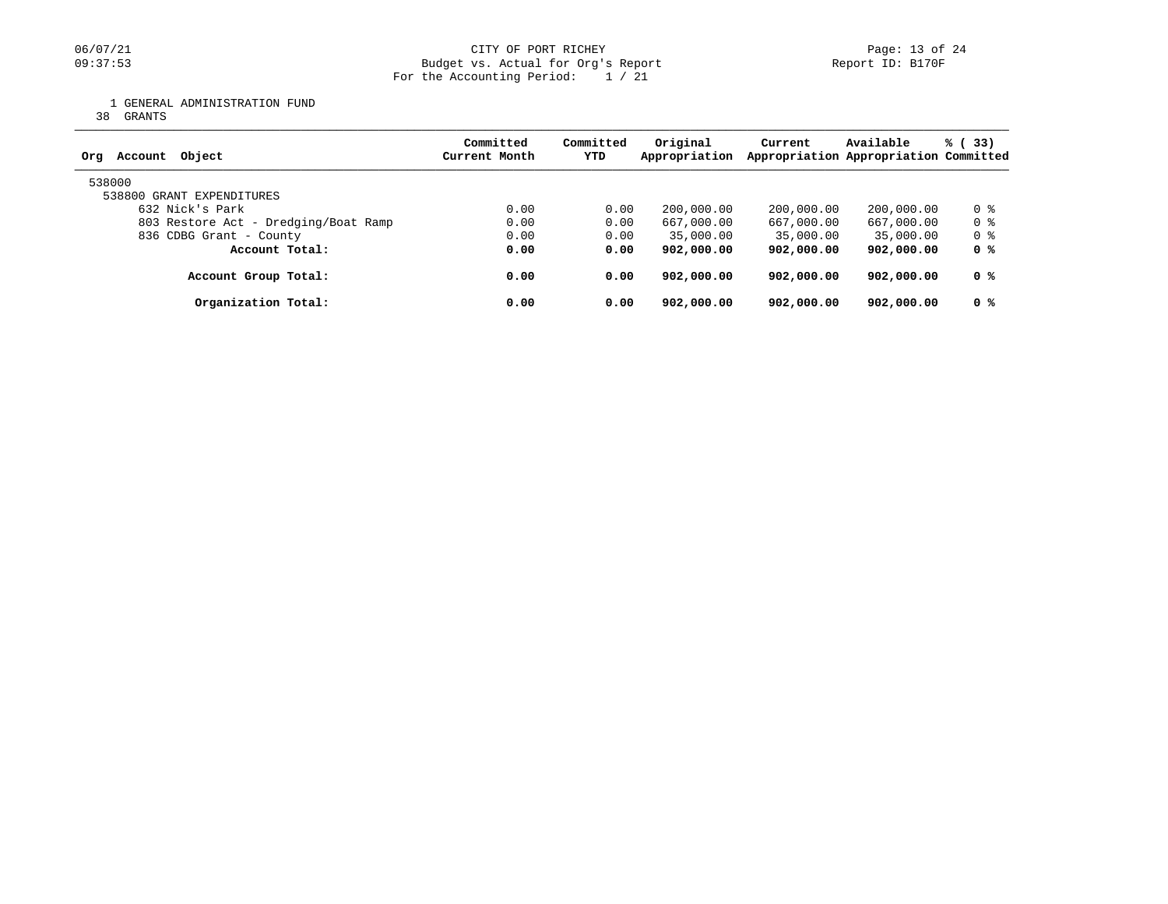## 06/07/21 CITY OF PORT RICHEY Page: 13 of 24<br>
Budget vs. Actual for Org's Report Port 1999 (Peport ID: B170F Budget vs. Actual for Org's Report For the Accounting Period: 1 / 21

1 GENERAL ADMINISTRATION FUND

38 GRANTS

| Object<br>Account<br>Ora             | Committed<br>Current Month | Committed<br><b>YTD</b> | Original<br>Appropriation | Current    | Available<br>Appropriation Appropriation Committed | % (33) |
|--------------------------------------|----------------------------|-------------------------|---------------------------|------------|----------------------------------------------------|--------|
| 538000<br>538800 GRANT EXPENDITURES  |                            |                         |                           |            |                                                    |        |
| 632 Nick's Park                      | 0.00                       | 0.00                    | 200,000.00                | 200,000.00 | 200,000.00                                         | 0 %    |
| 803 Restore Act - Dredging/Boat Ramp | 0.00                       | 0.00                    | 667,000.00                | 667,000.00 | 667,000.00                                         | 0 %    |
| 836 CDBG Grant - County              | 0.00                       | 0.00                    | 35,000.00                 | 35,000.00  | 35,000.00                                          | 0 %    |
| Account Total:                       | 0.00                       | 0.00                    | 902,000.00                | 902,000.00 | 902,000.00                                         | 0 %    |
| Account Group Total:                 | 0.00                       | 0.00                    | 902,000.00                | 902,000.00 | 902,000.00                                         | 0 %    |
| Organization Total:                  | 0.00                       | 0.00                    | 902,000,00                | 902,000.00 | 902,000.00                                         | 0 %    |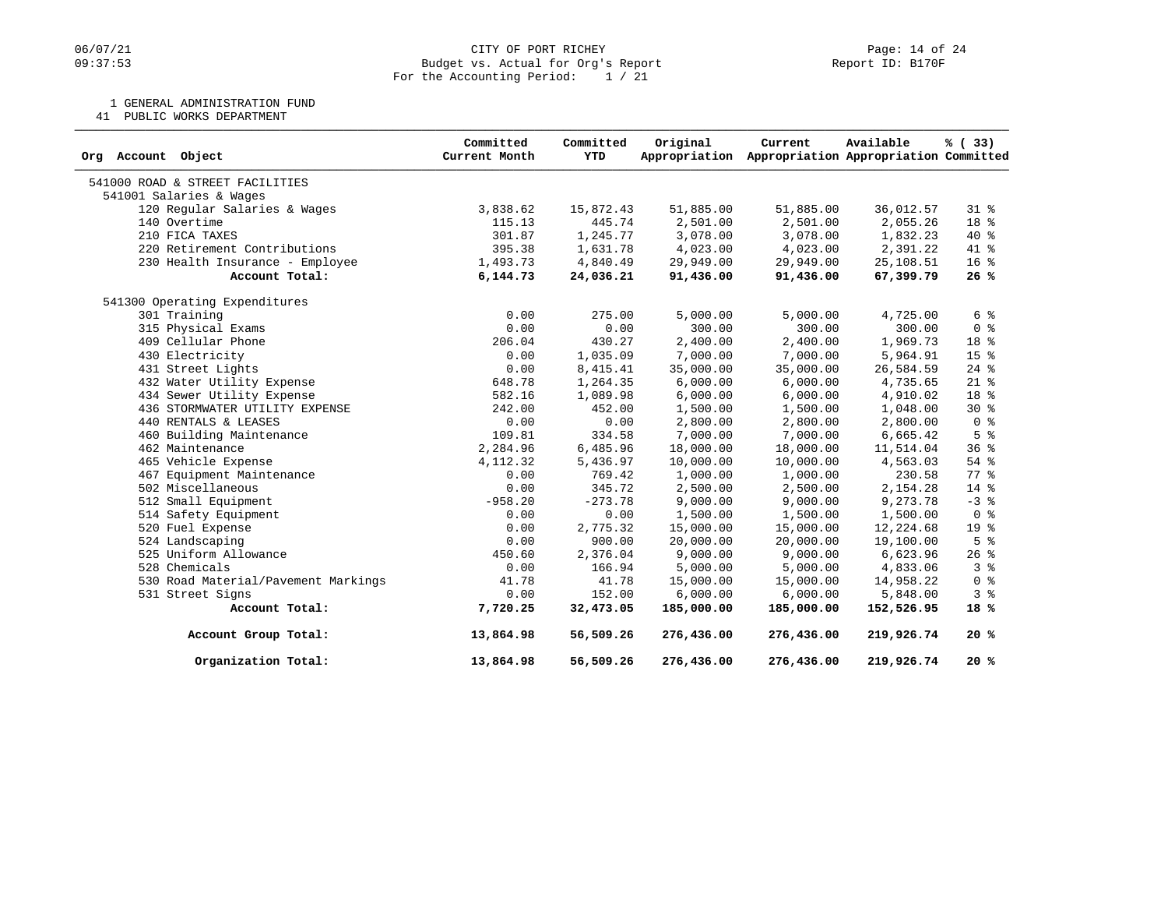## 06/07/21 CITY OF PORT RICHEY Page: 14 of 24<br>
Budget vs. Actual for Org's Report Port 1999 (Peport ID: B170F Budget vs. Actual for Org's Report For the Accounting Period: 1 / 21

1 GENERAL ADMINISTRATION FUND

41 PUBLIC WORKS DEPARTMENT

| Object<br>Org Account               | Committed<br>Current Month | Committed<br><b>YTD</b> | Original<br>Appropriation | Current    | Available<br>Appropriation Appropriation Committed | % (33)          |
|-------------------------------------|----------------------------|-------------------------|---------------------------|------------|----------------------------------------------------|-----------------|
| 541000 ROAD & STREET FACILITIES     |                            |                         |                           |            |                                                    |                 |
| 541001 Salaries & Wages             |                            |                         |                           |            |                                                    |                 |
| 120 Regular Salaries & Wages        | 3,838.62                   | 15,872.43               | 51,885.00                 | 51,885.00  | 36,012.57                                          | $31*$           |
| 140 Overtime                        | 115.13                     | 445.74                  | 2,501.00                  | 2,501.00   | 2,055.26                                           | 18 %            |
| 210 FICA TAXES                      | 301.87                     | 1,245.77                | 3,078.00                  | 3,078.00   | 1,832.23                                           | 40 %            |
| 220 Retirement Contributions        | 395.38                     | 1,631.78                | 4,023.00                  | 4,023.00   | 2,391.22                                           | 41 %            |
| 230 Health Insurance - Employee     | 1,493.73                   | 4,840.49                | 29,949.00                 | 29,949.00  | 25,108.51                                          | 16 <sup>°</sup> |
| Account Total:                      | 6,144.73                   | 24,036.21               | 91,436.00                 | 91,436.00  | 67,399.79                                          | 26%             |
| 541300 Operating Expenditures       |                            |                         |                           |            |                                                    |                 |
| 301 Training                        | 0.00                       | 275.00                  | 5,000.00                  | 5,000.00   | 4,725.00                                           | 6 %             |
| 315 Physical Exams                  | 0.00                       | 0.00                    | 300.00                    | 300.00     | 300.00                                             | 0 <sup>8</sup>  |
| 409 Cellular Phone                  | 206.04                     | 430.27                  | 2,400.00                  | 2,400.00   | 1,969.73                                           | 18 %            |
| 430 Electricity                     | 0.00                       | 1,035.09                | 7,000.00                  | 7,000.00   | 5,964.91                                           | 15 %            |
| 431 Street Lights                   | 0.00                       | 8,415.41                | 35,000.00                 | 35,000.00  | 26,584.59                                          | $24$ %          |
| 432 Water Utility Expense           | 648.78                     | 1,264.35                | 6,000.00                  | 6,000.00   | 4,735.65                                           | $21$ %          |
| 434 Sewer Utility Expense           | 582.16                     | 1,089.98                | 6,000.00                  | 6,000.00   | 4,910.02                                           | 18 %            |
| 436 STORMWATER UTILITY EXPENSE      | 242.00                     | 452.00                  | 1,500.00                  | 1,500.00   | 1,048.00                                           | $30*$           |
| 440 RENTALS & LEASES                | 0.00                       | 0.00                    | 2,800.00                  | 2,800.00   | 2,800.00                                           | 0 <sup>8</sup>  |
| 460 Building Maintenance            | 109.81                     | 334.58                  | 7,000.00                  | 7,000.00   | 6,665.42                                           | 5 <sup>8</sup>  |
| 462 Maintenance                     | 2,284.96                   | 6,485.96                | 18,000.00                 | 18,000.00  | 11,514.04                                          | 36 <sup>8</sup> |
| 465 Vehicle Expense                 | 4,112.32                   | 5,436.97                | 10,000.00                 | 10,000.00  | 4,563.03                                           | 54 %            |
| 467 Equipment Maintenance           | 0.00                       | 769.42                  | 1,000.00                  | 1,000.00   | 230.58                                             | 77 %            |
| 502 Miscellaneous                   | 0.00                       | 345.72                  | 2,500.00                  | 2,500.00   | 2,154.28                                           | $14*$           |
| 512 Small Equipment                 | $-958.20$                  | $-273.78$               | 9,000.00                  | 9,000.00   | 9,273.78                                           | $-3$ $%$        |
| 514 Safety Equipment                | 0.00                       | 0.00                    | 1,500.00                  | 1,500.00   | 1,500.00                                           | 0 <sup>8</sup>  |
| 520 Fuel Expense                    | 0.00                       | 2,775.32                | 15,000.00                 | 15,000.00  | 12,224.68                                          | 19 <sup>°</sup> |
| 524 Landscaping                     | 0.00                       | 900.00                  | 20,000.00                 | 20,000.00  | 19,100.00                                          | 5 <sup>8</sup>  |
| 525 Uniform Allowance               | 450.60                     | 2,376.04                | 9,000.00                  | 9,000.00   | 6,623.96                                           | $26$ %          |
| 528 Chemicals                       | 0.00                       | 166.94                  | 5,000.00                  | 5,000.00   | 4,833.06                                           | 3 <sup>8</sup>  |
| 530 Road Material/Pavement Markings | 41.78                      | 41.78                   | 15,000.00                 | 15,000.00  | 14,958.22                                          | 0 <sup>8</sup>  |
| 531 Street Signs                    | 0.00                       | 152.00                  | 6,000.00                  | 6,000.00   | 5,848.00                                           | 3 <sup>8</sup>  |
| Account Total:                      | 7,720.25                   | 32,473.05               | 185,000.00                | 185,000.00 | 152,526.95                                         | 18%             |
| Account Group Total:                | 13,864.98                  | 56,509.26               | 276,436.00                | 276,436.00 | 219,926.74                                         | 20%             |
| Organization Total:                 | 13,864.98                  | 56,509.26               | 276,436.00                | 276,436.00 | 219,926.74                                         | 20%             |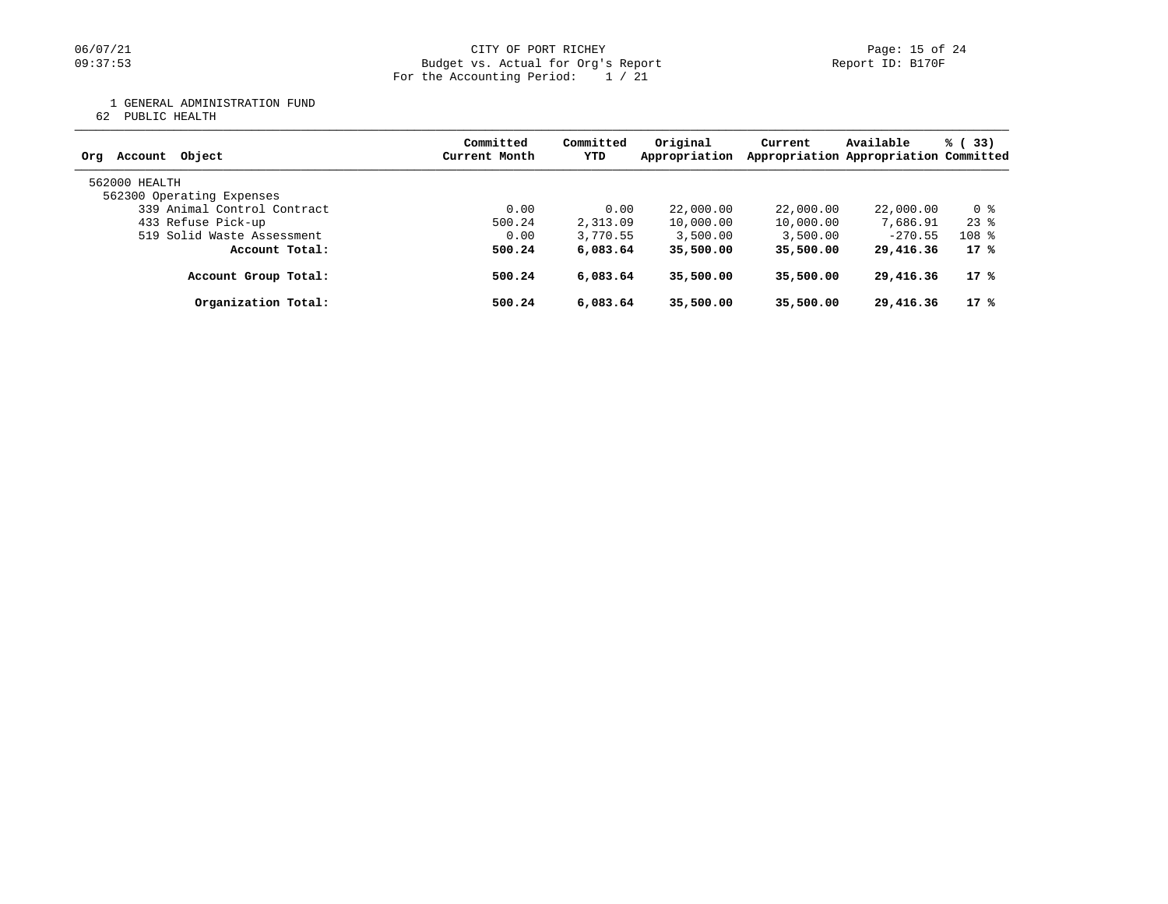#### 06/07/21 CITY OF PORT RICHEY PORT RICHEY Page: 15 of 24 09:37:53 Budget vs. Actual for Org's Report Report ID: B170F For the Accounting Period: 1 / 21

1 GENERAL ADMINISTRATION FUND

62 PUBLIC HEALTH

| Account Object<br>Ora       | Committed<br>Current Month | Committed<br>YTD | Original<br>Appropriation | Current   | Available<br>Appropriation Appropriation Committed | % (33)    |
|-----------------------------|----------------------------|------------------|---------------------------|-----------|----------------------------------------------------|-----------|
| 562000 HEALTH               |                            |                  |                           |           |                                                    |           |
| 562300 Operating Expenses   |                            |                  |                           |           |                                                    |           |
| 339 Animal Control Contract | 0.00                       | 0.00             | 22,000.00                 | 22,000.00 | 22,000.00                                          | 0 %       |
| 433 Refuse Pick-up          | 500.24                     | 2,313.09         | 10,000.00                 | 10,000.00 | 7,686.91                                           | $23$ $%$  |
| 519 Solid Waste Assessment  | 0.00                       | 3,770.55         | 3,500.00                  | 3,500.00  | $-270.55$                                          | $108$ $%$ |
| Account Total:              | 500.24                     | 6,083.64         | 35,500.00                 | 35,500.00 | 29,416.36                                          | 17 %      |
| Account Group Total:        | 500.24                     | 6,083.64         | 35,500.00                 | 35,500.00 | 29,416.36                                          | 17 %      |
| Organization Total:         | 500.24                     | 6,083.64         | 35,500.00                 | 35,500.00 | 29,416.36                                          | 17 %      |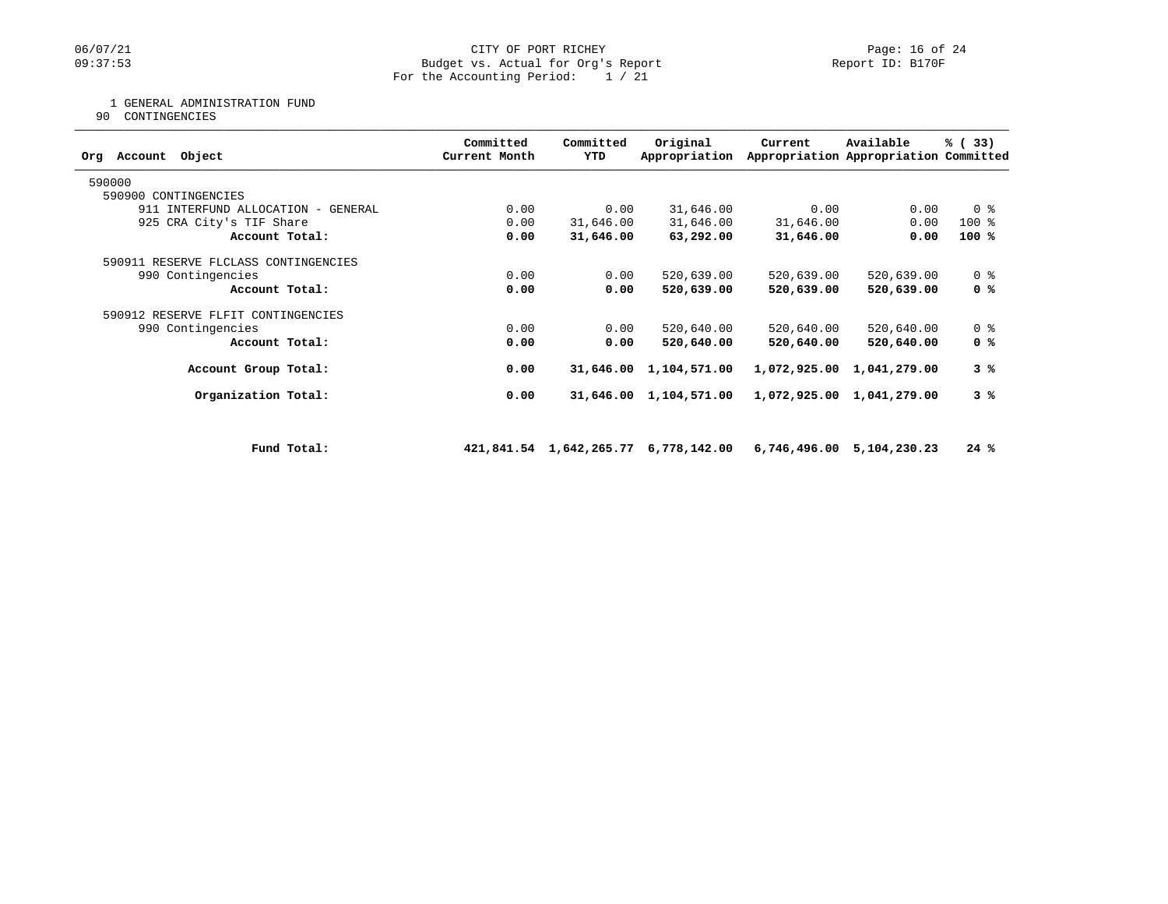## 06/07/21 CITY OF PORT RICHEY Page: 16 of 24<br>
Budget vs. Actual for Org's Report Port 19: BI70F PORT RIPS Page: 16 of 24 Budget vs. Actual for Org's Report For the Accounting Period: 1 / 21

## 1 GENERAL ADMINISTRATION FUND

90 CONTINGENCIES

| Object<br>Org Account                | Committed<br>Current Month | Committed<br>YTD | Original<br>Appropriation            | Current    | Available<br>Appropriation Appropriation Committed | % (33)         |
|--------------------------------------|----------------------------|------------------|--------------------------------------|------------|----------------------------------------------------|----------------|
| 590000                               |                            |                  |                                      |            |                                                    |                |
| 590900 CONTINGENCIES                 |                            |                  |                                      |            |                                                    |                |
| 911 INTERFUND ALLOCATION - GENERAL   | 0.00                       | 0.00             | 31,646.00                            | 0.00       | 0.00                                               | 0 <sup>8</sup> |
| 925 CRA City's TIF Share             | 0.00                       | 31,646.00        | 31,646.00                            | 31,646.00  | 0.00                                               | 100 %          |
| Account Total:                       | 0.00                       | 31,646.00        | 63,292.00                            | 31,646.00  | 0.00                                               | $100*$         |
| 590911 RESERVE FLCLASS CONTINGENCIES |                            |                  |                                      |            |                                                    |                |
| 990 Contingencies                    | 0.00                       | 0.00             | 520,639.00                           | 520,639.00 | 520,639.00                                         | 0 <sub>8</sub> |
| Account Total:                       | 0.00                       | 0.00             | 520,639.00                           | 520,639.00 | 520,639.00                                         | 0 %            |
| 590912 RESERVE FLFIT CONTINGENCIES   |                            |                  |                                      |            |                                                    |                |
| 990 Contingencies                    | 0.00                       | 0.00             | 520,640.00                           | 520,640.00 | 520,640.00                                         | 0 <sup>8</sup> |
| Account Total:                       | 0.00                       | 0.00             | 520,640.00                           | 520,640.00 | 520,640.00                                         | 0 %            |
| Account Group Total:                 | 0.00                       | 31,646.00        | 1,104,571.00                         |            | 1,072,925.00 1,041,279.00                          | 3%             |
| Organization Total:                  | 0.00                       | 31,646.00        | 1,104,571.00                         |            | 1,072,925.00 1,041,279.00                          | 3%             |
|                                      |                            |                  |                                      |            |                                                    |                |
| Fund Total:                          |                            |                  | 421,841.54 1,642,265.77 6,778,142.00 |            | 6,746,496.00 5,104,230.23                          | 24%            |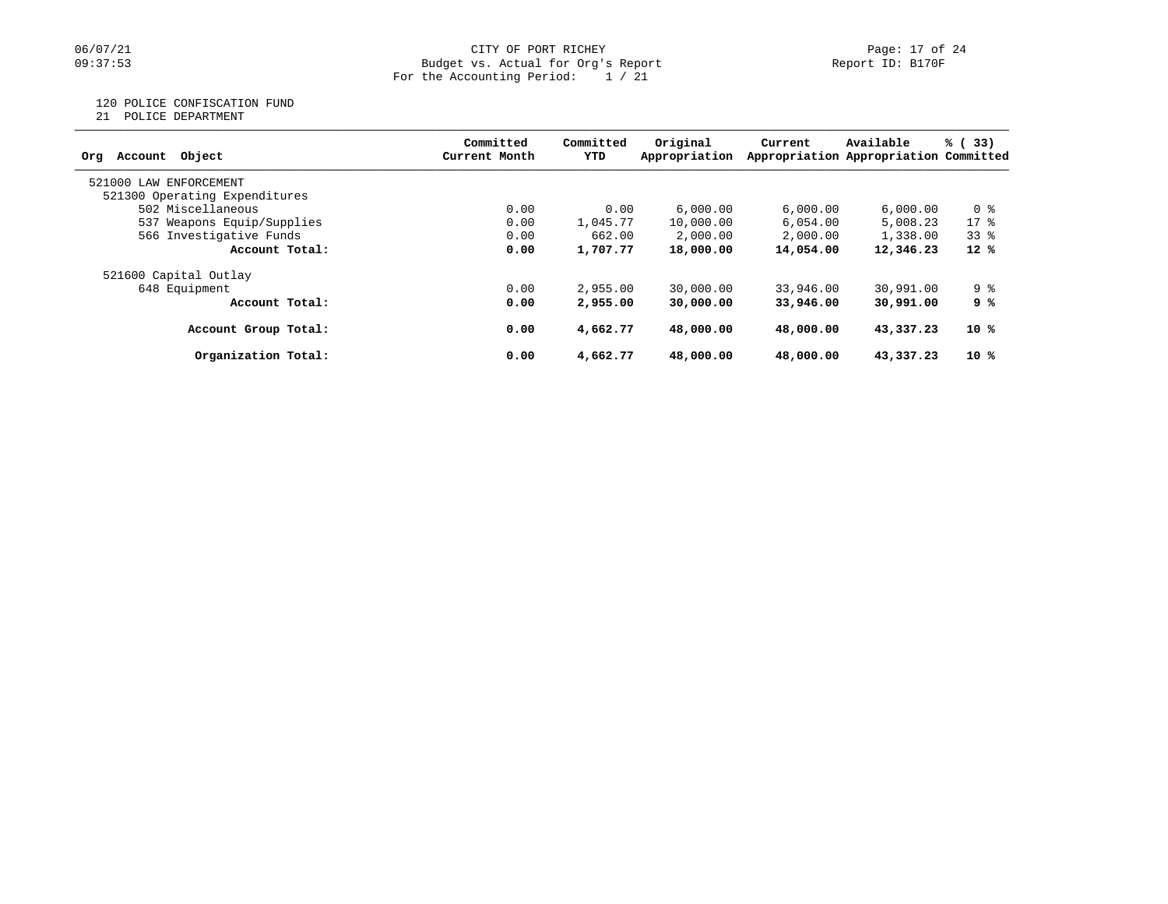## 06/07/21 CITY OF PORT RICHEY Page: 17 of 24<br>
Budget vs. Actual for Org's Report Port 1999 (Peport ID: B170F Budget vs. Actual for Org's Report For the Accounting Period: 1 / 21

120 POLICE CONFISCATION FUND

21 POLICE DEPARTMENT

| Account Object<br>Org         | Committed<br>Current Month | Committed<br>YTD | Original<br>Appropriation | Current   | Available<br>Appropriation Appropriation Committed | % (33) |
|-------------------------------|----------------------------|------------------|---------------------------|-----------|----------------------------------------------------|--------|
| 521000 LAW<br>ENFORCEMENT     |                            |                  |                           |           |                                                    |        |
| 521300 Operating Expenditures |                            |                  |                           |           |                                                    |        |
| 502 Miscellaneous             | 0.00                       | 0.00             | 6,000.00                  | 6,000.00  | 6,000.00                                           | 0 %    |
| 537 Weapons Equip/Supplies    | 0.00                       | 1,045.77         | 10,000.00                 | 6.054.00  | 5,008.23                                           | $17*$  |
| 566 Investigative Funds       | 0.00                       | 662.00           | 2,000.00                  | 2,000.00  | 1,338.00                                           | 338    |
| Account Total:                | 0.00                       | 1,707.77         | 18,000.00                 | 14,054.00 | 12,346.23                                          | $12*$  |
| 521600 Capital Outlay         |                            |                  |                           |           |                                                    |        |
| 648 Equipment                 | 0.00                       | 2,955.00         | 30,000.00                 | 33,946.00 | 30,991.00                                          | 9 %    |
| Account Total:                | 0.00                       | 2,955.00         | 30,000.00                 | 33,946,00 | 30,991.00                                          | 9 %    |
| Account Group Total:          | 0.00                       | 4,662.77         | 48,000,00                 | 48,000,00 | 43,337.23                                          | 10 %   |
| Organization Total:           | 0.00                       | 4,662.77         | 48,000,00                 | 48,000,00 | 43,337.23                                          | 10 %   |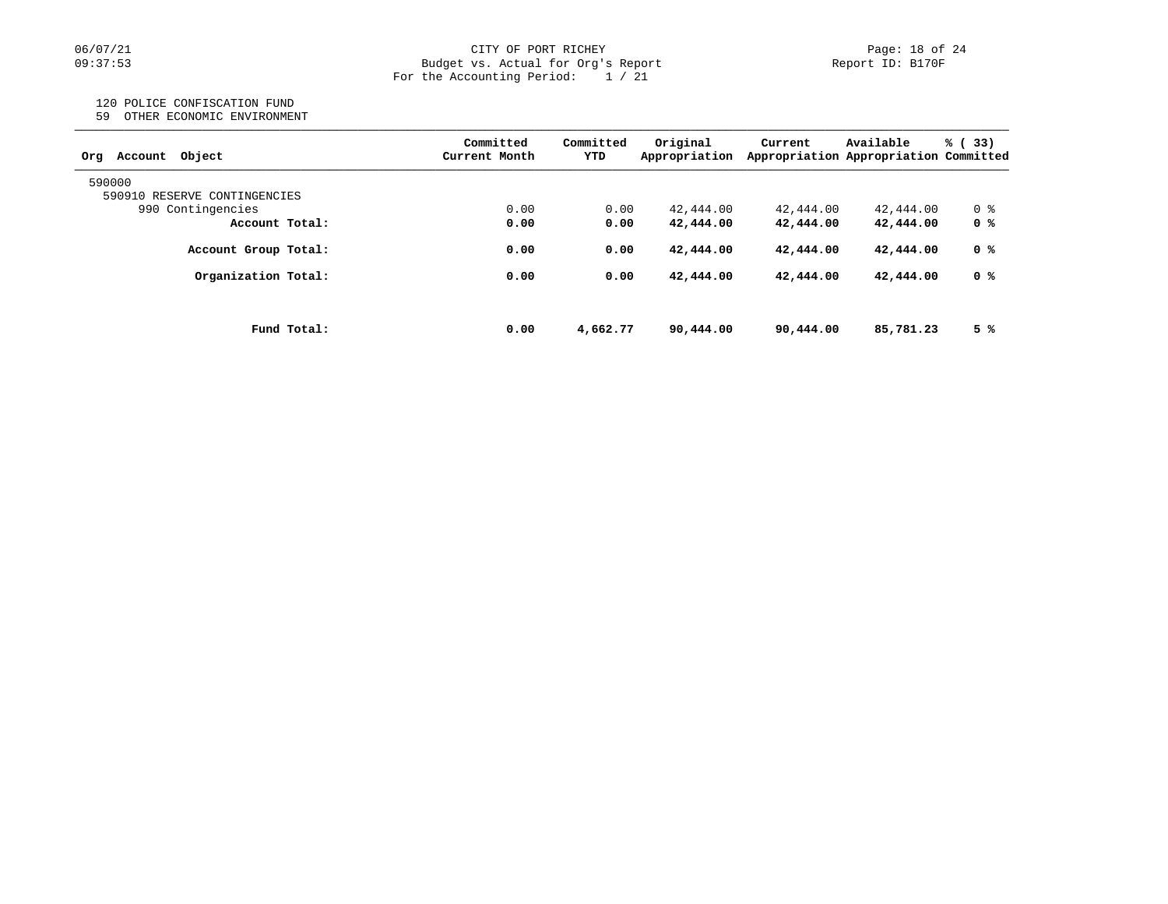## 06/07/21 CITY OF PORT RICHEY Page: 18 of 24<br>
Budget vs. Actual for Org's Report Port (10: B170F PORT RICHEY Budget vs. Actual for Org's Report For the Accounting Period: 1 / 21

## 120 POLICE CONFISCATION FUND

59 OTHER ECONOMIC ENVIRONMENT

| Object<br>Account<br>Orq     | Committed<br>Current Month | Committed<br>YTD | Original<br>Appropriation | Current   | Available<br>Appropriation Appropriation Committed | % (33) |
|------------------------------|----------------------------|------------------|---------------------------|-----------|----------------------------------------------------|--------|
| 590000                       |                            |                  |                           |           |                                                    |        |
| 590910 RESERVE CONTINGENCIES |                            |                  |                           |           |                                                    |        |
| 990 Contingencies            | 0.00                       | 0.00             | 42,444.00                 | 42,444.00 | 42,444.00                                          | 0 %    |
| Account Total:               | 0.00                       | 0.00             | 42,444.00                 | 42,444.00 | 42,444.00                                          | 0 %    |
| Account Group Total:         | 0.00                       | 0.00             | 42,444.00                 | 42,444.00 | 42,444.00                                          | 0 %    |
| Organization Total:          | 0.00                       | 0.00             | 42,444.00                 | 42,444.00 | 42,444.00                                          | 0 %    |
|                              |                            |                  |                           |           |                                                    |        |
| Fund Total:                  | 0.00                       | 4,662.77         | 90,444.00                 | 90,444.00 | 85,781.23                                          | 5 %    |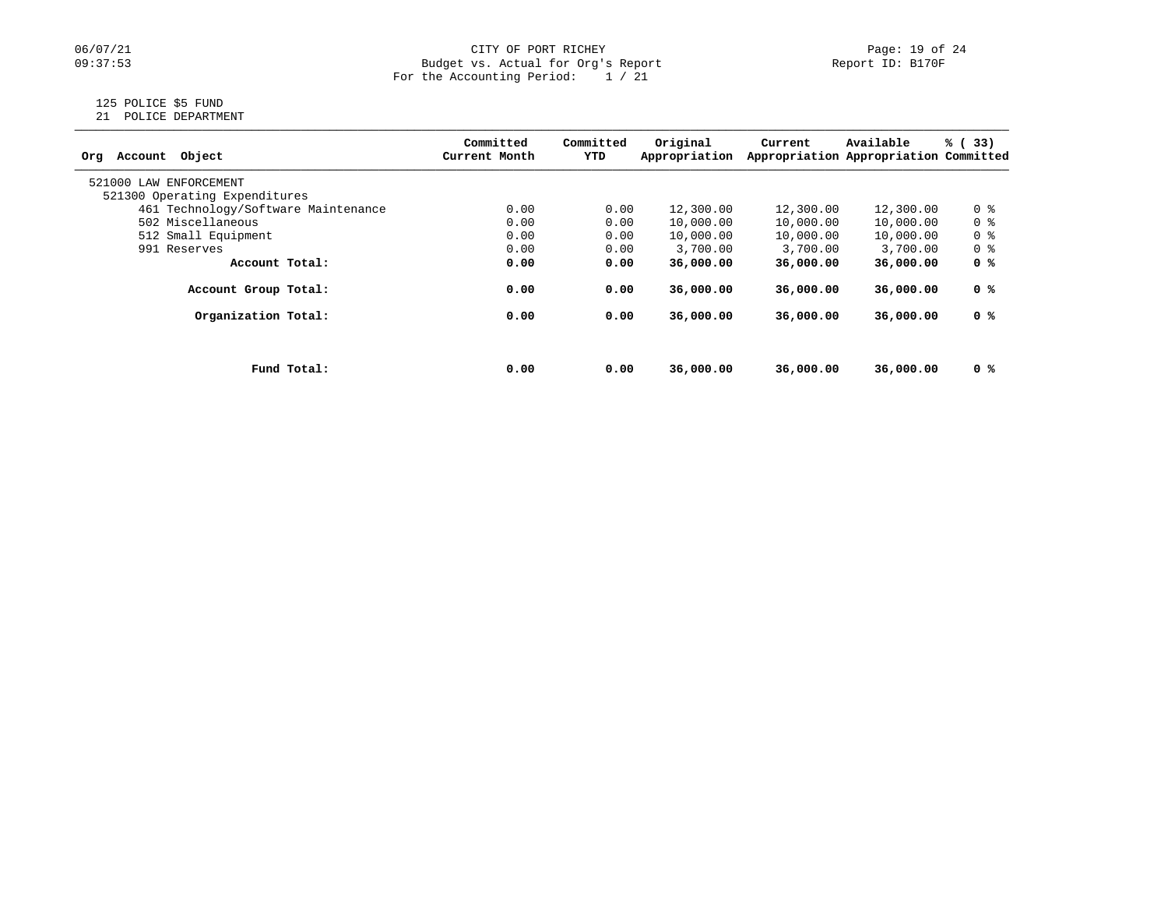## 06/07/21 CITY OF PORT RICHEY Page: 19 of 24<br>
Budget vs. Actual for Org's Report Page: 19 of 24<br>
Page: 19 of 24 Budget vs. Actual for Org's Report For the Accounting Period: 1 / 21

# 125 POLICE \$5 FUND

21 POLICE DEPARTMENT

| Object<br>Account<br>Ora            |             | Committed<br>Current Month | Committed<br>YTD | Original<br>Appropriation | Current   | Available<br>Appropriation Appropriation Committed | % (33)         |
|-------------------------------------|-------------|----------------------------|------------------|---------------------------|-----------|----------------------------------------------------|----------------|
| 521000 LAW ENFORCEMENT              |             |                            |                  |                           |           |                                                    |                |
| 521300 Operating Expenditures       |             |                            |                  |                           |           |                                                    |                |
| 461 Technology/Software Maintenance |             | 0.00                       | 0.00             | 12,300.00                 | 12,300.00 | 12,300.00                                          | 0 <sup>8</sup> |
| 502 Miscellaneous                   |             | 0.00                       | 0.00             | 10,000.00                 | 10,000.00 | 10,000.00                                          | 0 <sup>8</sup> |
| 512 Small Equipment                 |             | 0.00                       | 0.00             | 10,000.00                 | 10,000.00 | 10,000.00                                          | 0 <sup>8</sup> |
| 991 Reserves                        |             | 0.00                       | 0.00             | 3,700.00                  | 3,700.00  | 3,700.00                                           | 0 %            |
| Account Total:                      |             | 0.00                       | 0.00             | 36,000.00                 | 36,000.00 | 36,000.00                                          | 0 %            |
| Account Group Total:                |             | 0.00                       | 0.00             | 36,000,00                 | 36,000,00 | 36,000,00                                          | 0 %            |
| Organization Total:                 |             | 0.00                       | 0.00             | 36,000,00                 | 36,000,00 | 36,000.00                                          | 0 %            |
|                                     |             |                            |                  |                           |           |                                                    |                |
|                                     | Fund Total: | 0.00                       | 0.00             | 36,000.00                 | 36,000,00 | 36,000.00                                          | 0 %            |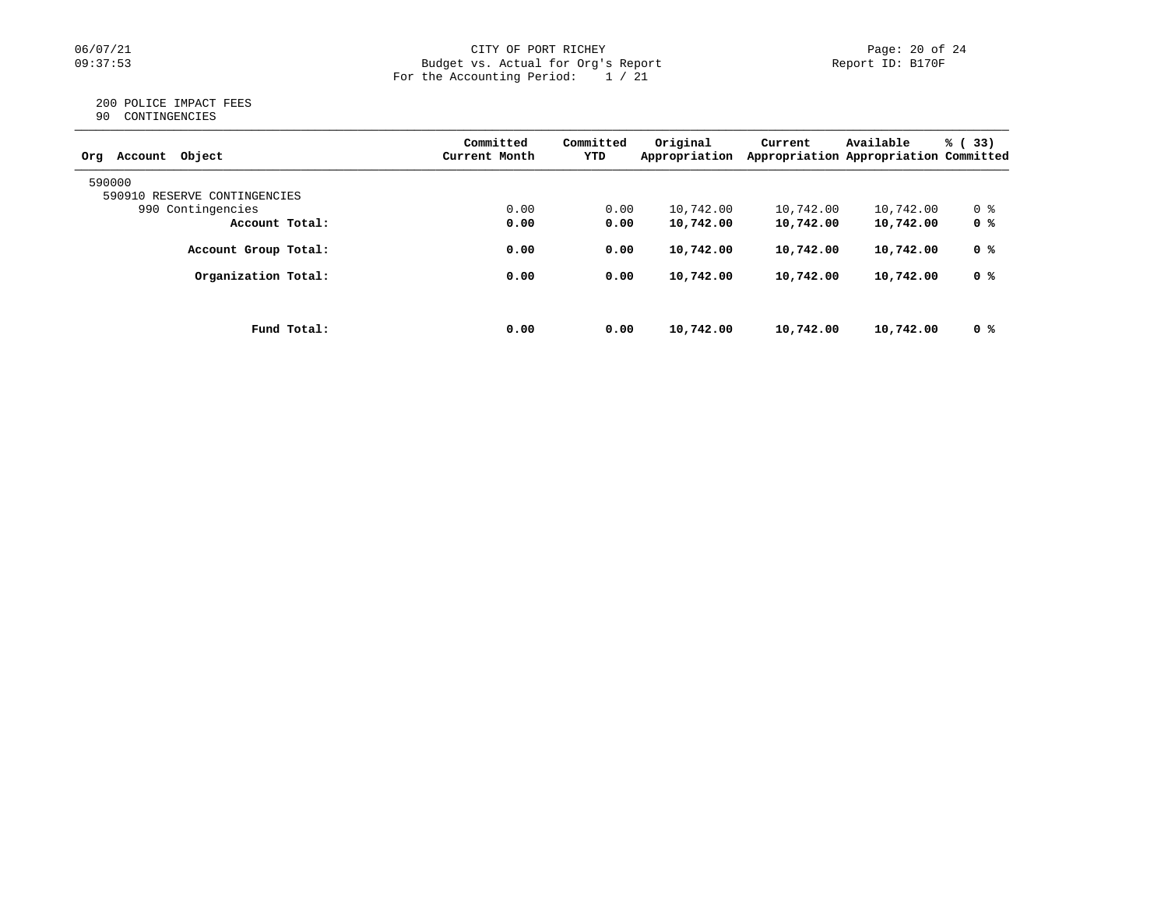## 06/07/21 CITY OF PORT RICHEY Page: 20 of 24<br>
Budget vs. Actual for Org's Report Page: 20 of 24<br>
Page: 20 of 24 Budget vs. Actual for Org's Report For the Accounting Period: 1 / 21

#### 200 POLICE IMPACT FEES 90 CONTINGENCIES

| Object<br>Account<br>Orq     | Committed<br>Current Month | Committed<br>YTD | Original<br>Appropriation | Current   | Available<br>Appropriation Appropriation Committed | % (33) |
|------------------------------|----------------------------|------------------|---------------------------|-----------|----------------------------------------------------|--------|
| 590000                       |                            |                  |                           |           |                                                    |        |
| 590910 RESERVE CONTINGENCIES |                            |                  |                           |           |                                                    |        |
| 990 Contingencies            | 0.00                       | 0.00             | 10,742.00                 | 10,742.00 | 10,742.00                                          | 0 %    |
| Account Total:               | 0.00                       | 0.00             | 10,742.00                 | 10,742.00 | 10,742.00                                          | 0 %    |
| Account Group Total:         | 0.00                       | 0.00             | 10,742.00                 | 10,742.00 | 10,742.00                                          | 0 %    |
| Organization Total:          | 0.00                       | 0.00             | 10,742.00                 | 10,742.00 | 10,742.00                                          | 0 %    |
|                              |                            |                  |                           |           |                                                    |        |
| Fund Total:                  | 0.00                       | 0.00             | 10,742.00                 | 10,742.00 | 10,742.00                                          | 0 %    |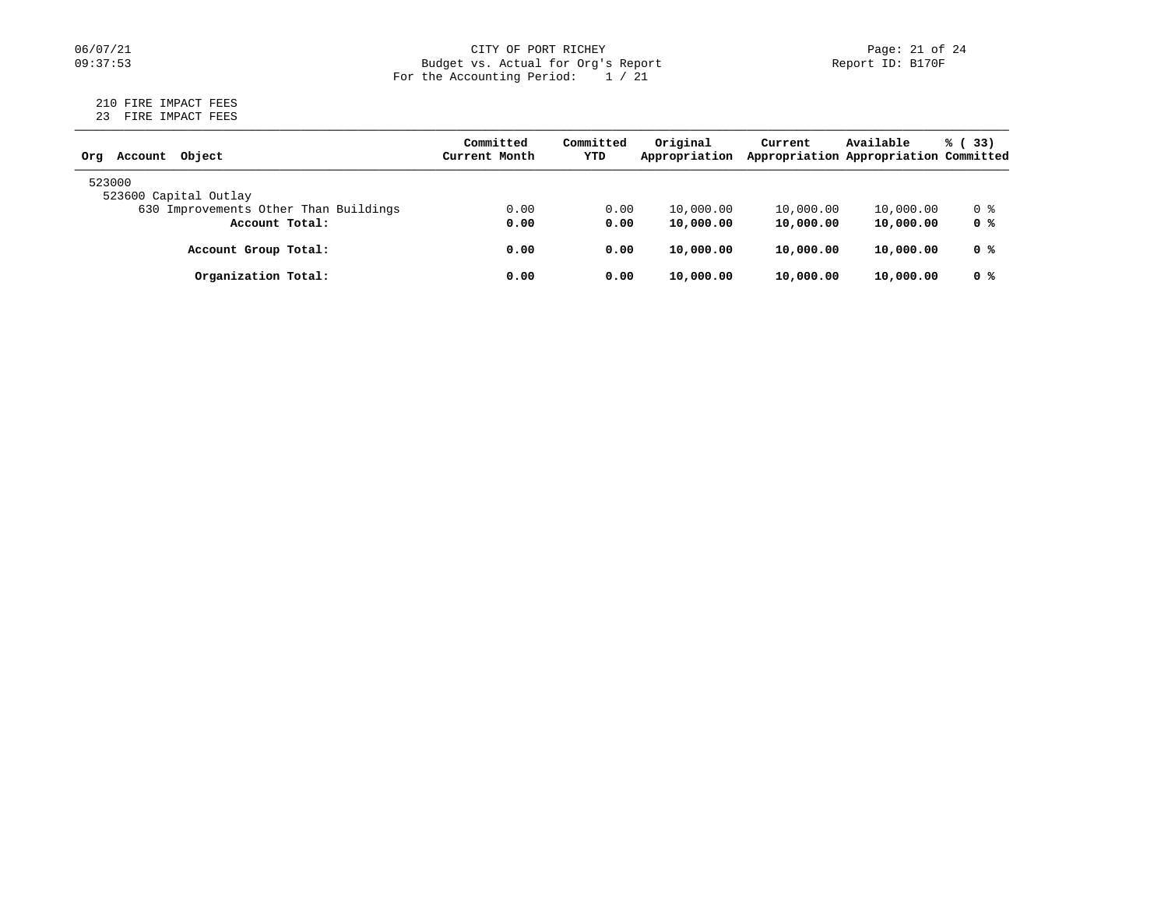## 06/07/21 CITY OF PORT RICHEY Page: 21 of 24<br>
Budget vs. Actual for Org's Report Page: 21 of 24<br>
Page: 21 of 24 Budget vs. Actual for Org's Report For the Accounting Period: 1 / 21

#### 210 FIRE IMPACT FEES 23 FIRE IMPACT FEES

| Object<br>Account<br>Orq              | Committed<br>Current Month | Committed<br>YTD | Original<br>Appropriation | Current   | Available<br>Appropriation Appropriation Committed | % (33) |
|---------------------------------------|----------------------------|------------------|---------------------------|-----------|----------------------------------------------------|--------|
| 523000<br>523600 Capital Outlay       |                            |                  |                           |           |                                                    |        |
| 630 Improvements Other Than Buildings | 0.00                       | 0.00             | 10,000.00                 | 10,000.00 | 10,000.00                                          | 0 %    |
| Account Total:                        | 0.00                       | 0.00             | 10,000.00                 | 10,000.00 | 10,000.00                                          | 0 %    |
| Account Group Total:                  | 0.00                       | 0.00             | 10,000.00                 | 10,000.00 | 10,000.00                                          | 0 %    |
| Organization Total:                   | 0.00                       | 0.00             | 10,000.00                 | 10,000.00 | 10,000.00                                          | 0 %    |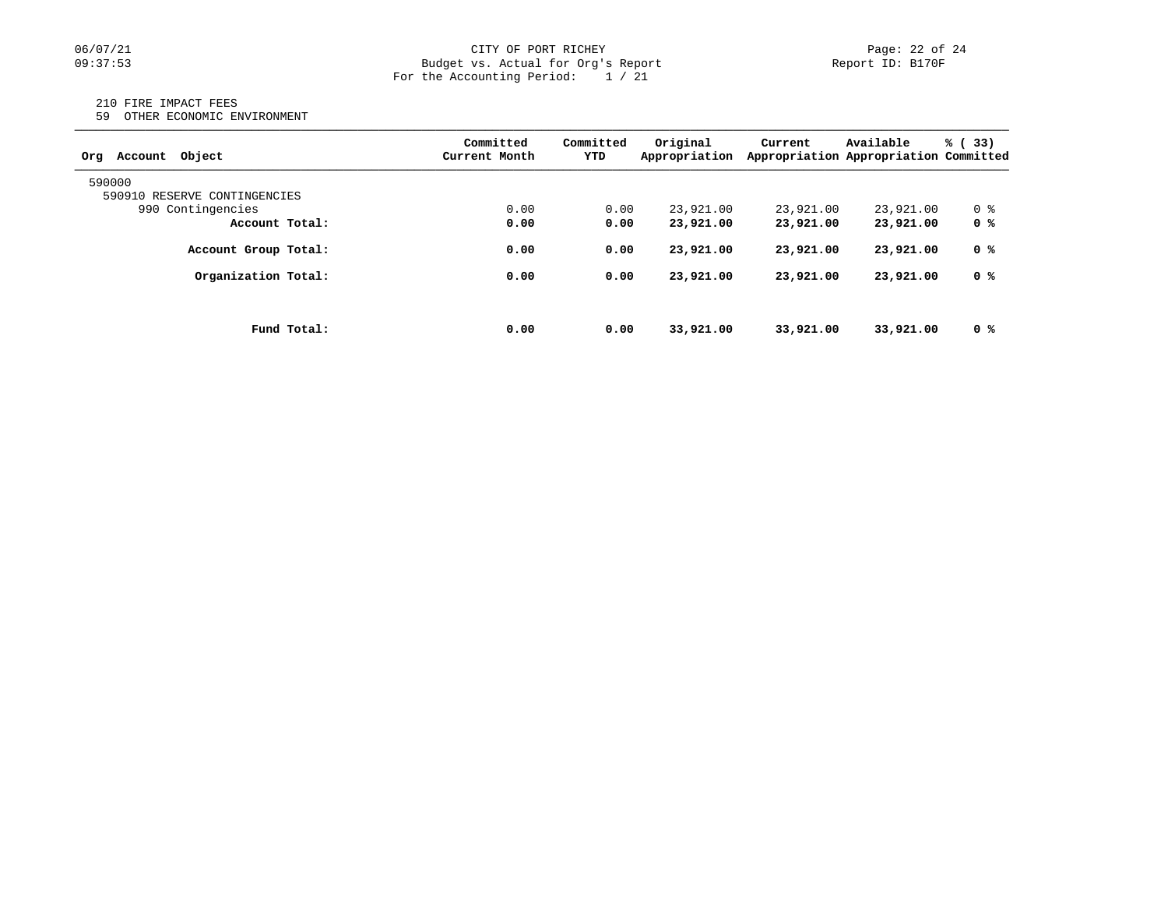## 06/07/21 CITY OF PORT RICHEY Page: 22 of 24<br>
Budget vs. Actual for Org's Report Port 10: BI70F PORT RICHEY Budget vs. Actual for Org's Report For the Accounting Period: 1 / 21

#### 210 FIRE IMPACT FEES

59 OTHER ECONOMIC ENVIRONMENT

| Obiect<br>Account<br>Orq     | Committed<br>Current Month | Committed<br>YTD | Original<br>Appropriation | Current   | Available<br>Appropriation Appropriation Committed | % (33) |
|------------------------------|----------------------------|------------------|---------------------------|-----------|----------------------------------------------------|--------|
| 590000                       |                            |                  |                           |           |                                                    |        |
| 590910 RESERVE CONTINGENCIES |                            |                  |                           |           |                                                    |        |
| 990 Contingencies            | 0.00                       | 0.00             | 23,921.00                 | 23,921.00 | 23,921.00                                          | 0 %    |
| Account Total:               | 0.00                       | 0.00             | 23,921.00                 | 23,921,00 | 23,921.00                                          | 0 %    |
| Account Group Total:         | 0.00                       | 0.00             | 23,921.00                 | 23,921,00 | 23,921.00                                          | 0 %    |
| Organization Total:          | 0.00                       | 0.00             | 23,921.00                 | 23,921.00 | 23,921.00                                          | 0 %    |
|                              |                            |                  |                           |           |                                                    |        |
| Fund Total:                  | 0.00                       | 0.00             | 33,921.00                 | 33,921,00 | 33,921.00                                          | 0 %    |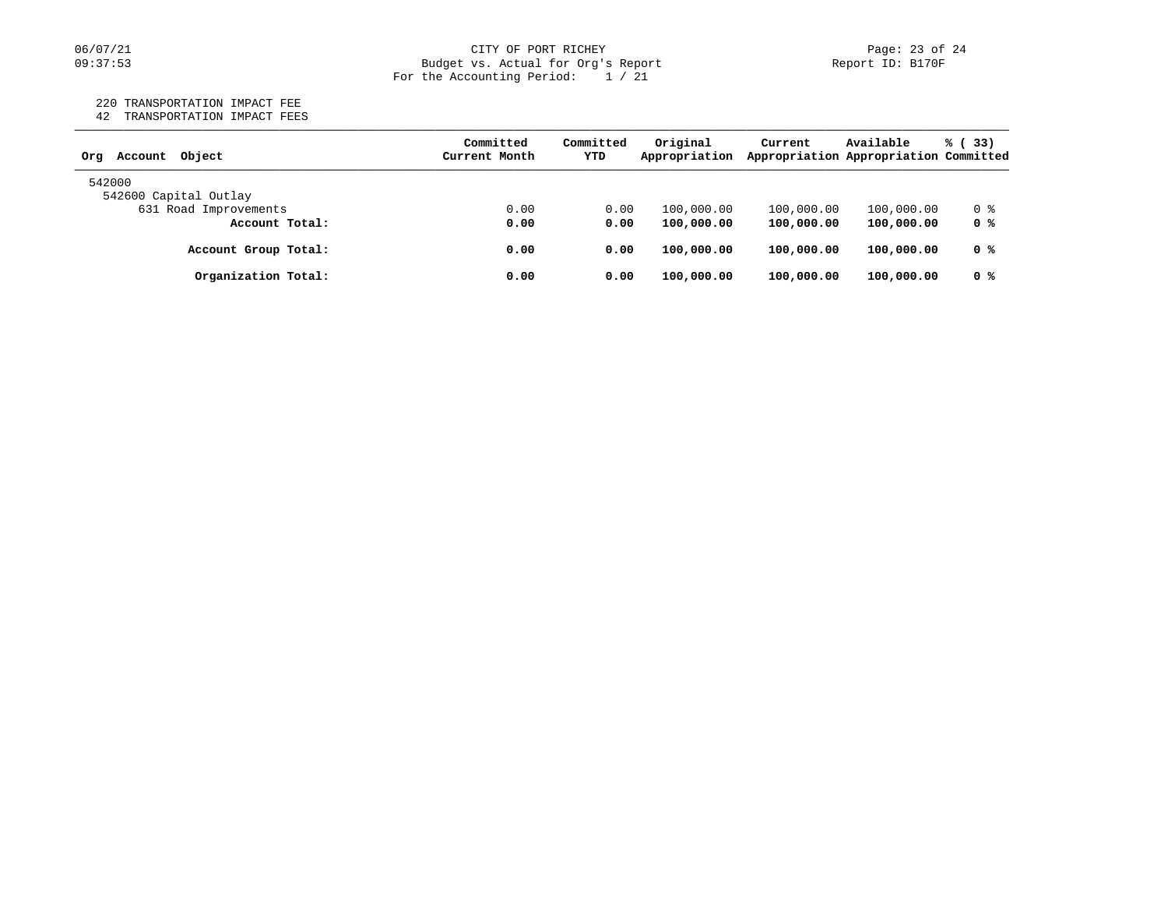#### 06/07/21 CITY OF PORT RICHEY PORT ROLL Page: 23 of 24 09:37:53 Budget vs. Actual for Org's Report Report ID: B170F For the Accounting Period: 1 / 21

# 220 TRANSPORTATION IMPACT FEE

42 TRANSPORTATION IMPACT FEES

| Object<br>Account<br>Orq | Committed<br>Current Month | Committed<br>YTD | Original<br>Appropriation | Current    | Available<br>Appropriation Appropriation Committed | % (33) |
|--------------------------|----------------------------|------------------|---------------------------|------------|----------------------------------------------------|--------|
| 542000                   |                            |                  |                           |            |                                                    |        |
| 542600 Capital Outlay    |                            |                  |                           |            |                                                    |        |
| 631 Road Improvements    | 0.00                       | 0.00             | 100,000.00                | 100,000.00 | 100,000.00                                         | 0 %    |
| Account Total:           | 0.00                       | 0.00             | 100,000.00                | 100,000.00 | 100,000.00                                         | 0 %    |
| Account Group Total:     | 0.00                       | 0.00             | 100,000.00                | 100,000.00 | 100,000.00                                         | 0 %    |
| Organization Total:      | 0.00                       | 0.00             | 100,000.00                | 100,000.00 | 100,000.00                                         | 0 %    |